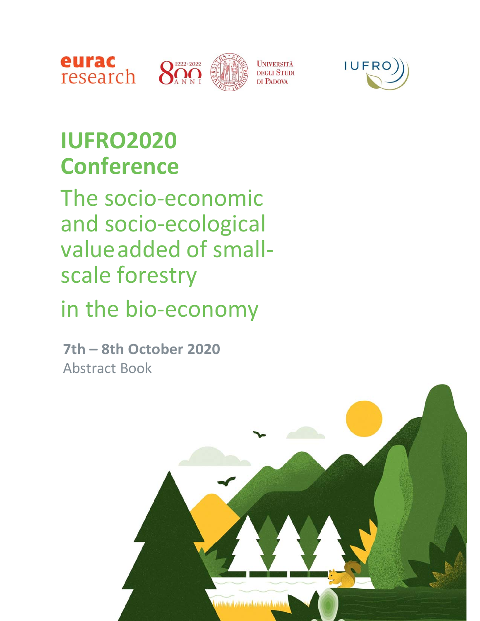



# **IUFRO2020 Conference**

The socio‐economic and socio‐ecological value added of small‐ scale forestry

# in the bio‐economy

**7th – 8th October 2020** Abstract Book

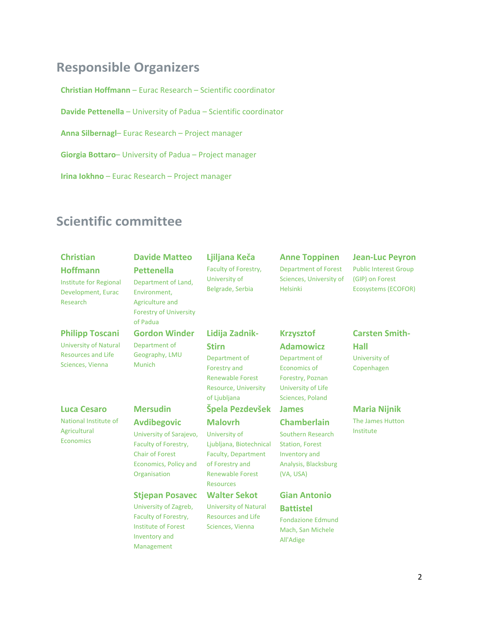# **Responsible Organizers**

**Christian Hoffmann** – Eurac Research – Scientific coordinator

**Davide Pettenella** – University of Padua – Scientific coordinator

**Anna Silbernagl**– Eurac Research – Project manager

**Giorgia Bottaro**– University of Padua – Project manager

**Irina Iokhno** – Eurac Research – Project manager

# **Scientific committee**

# **Christian**

# **Hoffmann**

Institute for Regional Development, Eurac Research

#### **Philipp Toscani**

University of Natural Resources and Life Sciences, Vienna

#### **Luca Cesaro**

National Institute of Agricultural Economics

### **Davide Matteo Pettenella**  Department of Land, Environment, Agriculture and Forestry of University of Padua

**Gordon Winder**  Department of

### Geography, LMU Munich

**Mersudin Avdibegovic** 

#### University of Sarajevo, Faculty of Forestry, Chair of Forest Economics, Policy and **Organisation**

#### **Stjepan Posavec**

University of Zagreb, Faculty of Forestry, Institute of Forest Inventory and Management

#### **Ljiljana Keča**  Faculty of Forestry, University of Belgrade, Serbia

# **Lidija Zadnik‐**

# **Stirn**

Department of Forestry and Renewable Forest Resource, University of Ljubljana

# **Špela Pezdevšek**

#### **Malovrh**

University of Ljubljana, Biotechnical Faculty, Department of Forestry and Renewable Forest **Resources** 

University of Natural Resources and Life Sciences, Vienna

# **Krzysztof**

Helsinki

**Anne Toppinen**  Department of Forest Sciences, University of

# **Adamowicz**

Department of Economics of Forestry, Poznan University of Life Sciences, Poland

# **James**

### **Chamberlain**

Southern Research Station, Forest Inventory and Analysis, Blacksburg (VA, USA)

# **Gian Antonio Battistel**

Fondazione Edmund Mach, San Michele All'Adige

# **Jean‐Luc Peyron**

Public Interest Group (GIP) on Forest Ecosystems (ECOFOR)

# University of

**Carsten Smith‐**

Copenhagen

**Hall** 

### **Maria Nijnik**

The James Hutton Institute

# **Walter Sekot**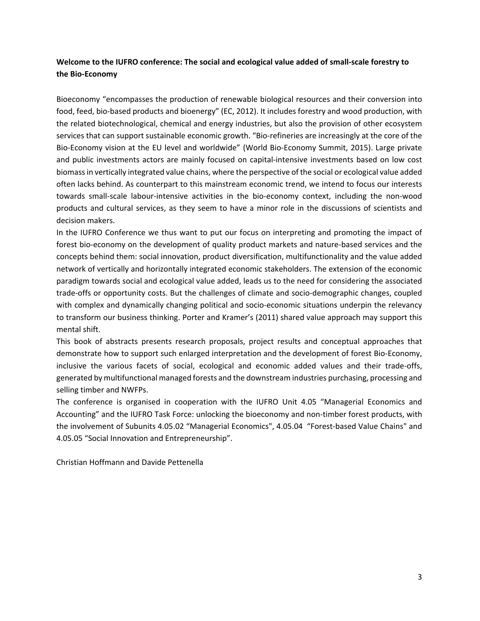# **Welcome to the IUFRO conference: The social and ecological value added of small‐scale forestry to the Bio‐Economy**

Bioeconomy "encompasses the production of renewable biological resources and their conversion into food, feed, bio‐based products and bioenergy" (EC, 2012). It includes forestry and wood production, with the related biotechnological, chemical and energy industries, but also the provision of other ecosystem services that can support sustainable economic growth. "Bio-refineries are increasingly at the core of the Bio‐Economy vision at the EU level and worldwide" (World Bio‐Economy Summit, 2015). Large private and public investments actors are mainly focused on capital-intensive investments based on low cost biomass in vertically integrated value chains, where the perspective of the social or ecological value added often lacks behind. As counterpart to this mainstream economic trend, we intend to focus our interests towards small‐scale labour‐intensive activities in the bio‐economy context, including the non‐wood products and cultural services, as they seem to have a minor role in the discussions of scientists and decision makers.

In the IUFRO Conference we thus want to put our focus on interpreting and promoting the impact of forest bio‐economy on the development of quality product markets and nature‐based services and the concepts behind them: social innovation, product diversification, multifunctionality and the value added network of vertically and horizontally integrated economic stakeholders. The extension of the economic paradigm towards social and ecological value added, leads us to the need for considering the associated trade‐offs or opportunity costs. But the challenges of climate and socio‐demographic changes, coupled with complex and dynamically changing political and socio-economic situations underpin the relevancy to transform our business thinking. Porter and Kramer's (2011) shared value approach may support this mental shift.

This book of abstracts presents research proposals, project results and conceptual approaches that demonstrate how to support such enlarged interpretation and the development of forest Bio‐Economy, inclusive the various facets of social, ecological and economic added values and their trade‐offs, generated by multifunctional managed forests and the downstream industries purchasing, processing and selling timber and NWFPs.

The conference is organised in cooperation with the IUFRO Unit 4.05 "Managerial Economics and Accounting" and the IUFRO Task Force: unlocking the bioeconomy and non‐timber forest products, with the involvement of Subunits 4.05.02 "Managerial Economics", 4.05.04 "Forest-based Value Chains" and 4.05.05 "Social Innovation and Entrepreneurship".

Christian Hoffmann and Davide Pettenella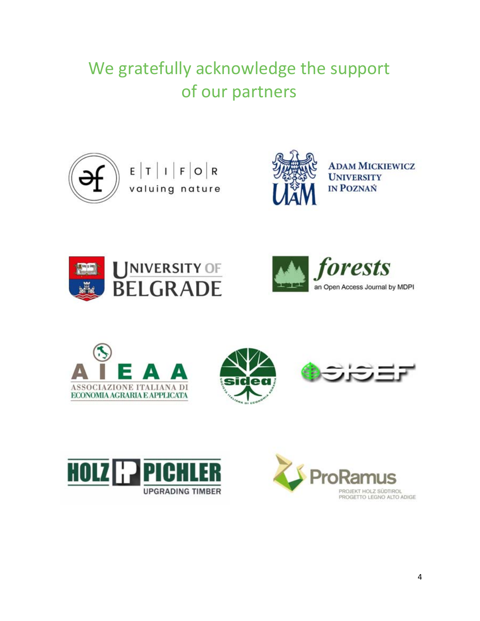# We gratefully acknowledge the support of our partners



 $\begin{array}{c|c|c|c|c|c} \hline \texttt{E} & \texttt{T} & \texttt{I} & \texttt{F} & \texttt{O} & \texttt{R} \\ \texttt{valiuing nature} \end{array}$ 



**ADAM MICKIEWICZ UNIVERSITY IN POZNAŃ** 













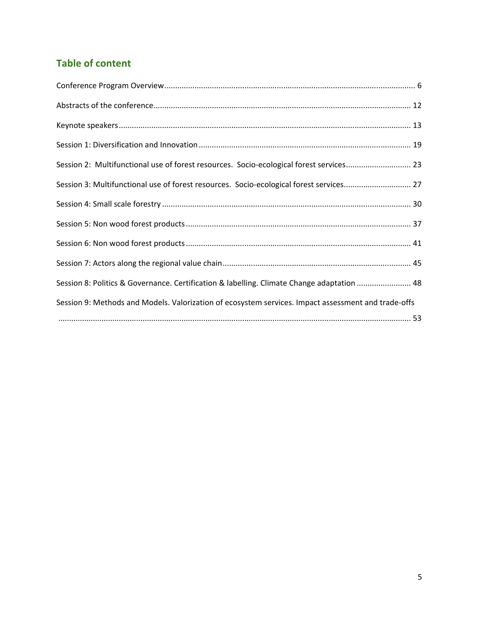# **Table of content**

| Session 2: Multifunctional use of forest resources. Socio-ecological forest services 23             |  |
|-----------------------------------------------------------------------------------------------------|--|
| Session 3: Multifunctional use of forest resources. Socio-ecological forest services 27             |  |
|                                                                                                     |  |
|                                                                                                     |  |
|                                                                                                     |  |
|                                                                                                     |  |
| Session 8: Politics & Governance. Certification & labelling. Climate Change adaptation  48          |  |
| Session 9: Methods and Models. Valorization of ecosystem services. Impact assessment and trade-offs |  |
|                                                                                                     |  |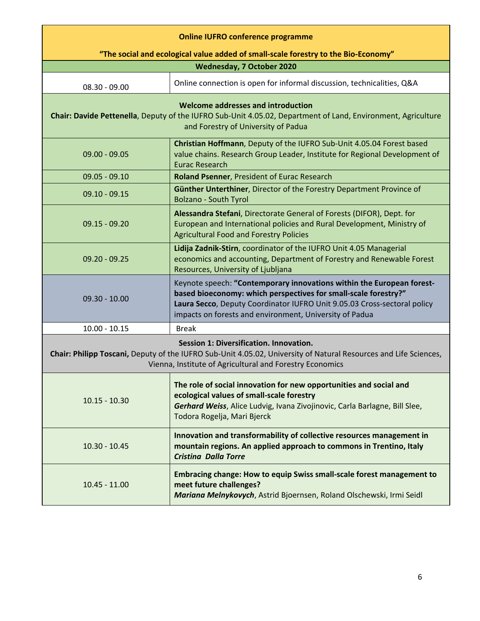| <b>Online IUFRO conference programme</b>                                                                                                                                                                                |                                                                                                                                                                                                                                                                                 |  |
|-------------------------------------------------------------------------------------------------------------------------------------------------------------------------------------------------------------------------|---------------------------------------------------------------------------------------------------------------------------------------------------------------------------------------------------------------------------------------------------------------------------------|--|
| "The social and ecological value added of small-scale forestry to the Bio-Economy"                                                                                                                                      |                                                                                                                                                                                                                                                                                 |  |
|                                                                                                                                                                                                                         | <b>Wednesday, 7 October 2020</b>                                                                                                                                                                                                                                                |  |
| $08.30 - 09.00$                                                                                                                                                                                                         | Online connection is open for informal discussion, technicalities, Q&A                                                                                                                                                                                                          |  |
| Welcome addresses and introduction<br>Chair: Davide Pettenella, Deputy of the IUFRO Sub-Unit 4.05.02, Department of Land, Environment, Agriculture<br>and Forestry of University of Padua                               |                                                                                                                                                                                                                                                                                 |  |
| $09.00 - 09.05$                                                                                                                                                                                                         | Christian Hoffmann, Deputy of the IUFRO Sub-Unit 4.05.04 Forest based<br>value chains. Research Group Leader, Institute for Regional Development of<br>Eurac Research                                                                                                           |  |
| $09.05 - 09.10$                                                                                                                                                                                                         | Roland Psenner, President of Eurac Research                                                                                                                                                                                                                                     |  |
| $09.10 - 09.15$                                                                                                                                                                                                         | Günther Unterthiner, Director of the Forestry Department Province of<br><b>Bolzano - South Tyrol</b>                                                                                                                                                                            |  |
| $09.15 - 09.20$                                                                                                                                                                                                         | Alessandra Stefani, Directorate General of Forests (DIFOR), Dept. for<br>European and International policies and Rural Development, Ministry of<br><b>Agricultural Food and Forestry Policies</b>                                                                               |  |
| $09.20 - 09.25$                                                                                                                                                                                                         | Lidija Zadnik-Stirn, coordinator of the IUFRO Unit 4.05 Managerial<br>economics and accounting, Department of Forestry and Renewable Forest<br>Resources, University of Ljubljana                                                                                               |  |
| $09.30 - 10.00$                                                                                                                                                                                                         | Keynote speech: "Contemporary innovations within the European forest-<br>based bioeconomy: which perspectives for small-scale forestry?"<br>Laura Secco, Deputy Coordinator IUFRO Unit 9.05.03 Cross-sectoral policy<br>impacts on forests and environment, University of Padua |  |
| $10.00 - 10.15$                                                                                                                                                                                                         | <b>Break</b>                                                                                                                                                                                                                                                                    |  |
| Session 1: Diversification. Innovation.<br>Chair: Philipp Toscani, Deputy of the IUFRO Sub-Unit 4.05.02, University of Natural Resources and Life Sciences,<br>Vienna, Institute of Agricultural and Forestry Economics |                                                                                                                                                                                                                                                                                 |  |
| $10.15 - 10.30$                                                                                                                                                                                                         | The role of social innovation for new opportunities and social and<br>ecological values of small-scale forestry<br>Gerhard Weiss, Alice Ludvig, Ivana Zivojinovic, Carla Barlagne, Bill Slee,<br>Todora Rogelja, Mari Bjerck                                                    |  |
| $10.30 - 10.45$                                                                                                                                                                                                         | Innovation and transformability of collective resources management in<br>mountain regions. An applied approach to commons in Trentino, Italy<br><b>Cristina Dalla Torre</b>                                                                                                     |  |
| $10.45 - 11.00$                                                                                                                                                                                                         | <b>Embracing change: How to equip Swiss small-scale forest management to</b><br>meet future challenges?<br>Mariana Melnykovych, Astrid Bjoernsen, Roland Olschewski, Irmi Seidl                                                                                                 |  |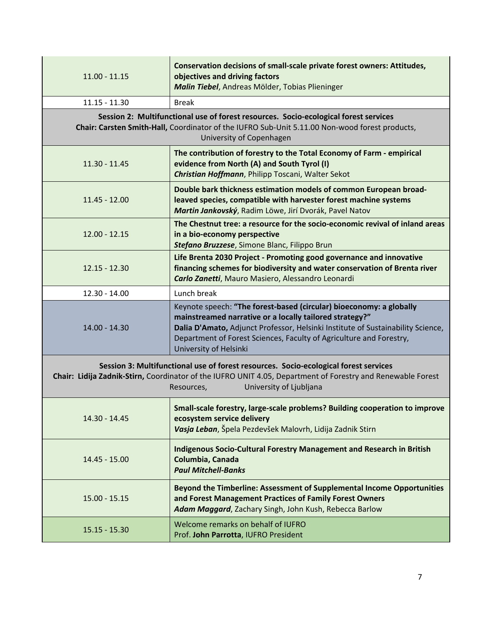| $11.00 - 11.15$                                                                                                                                                                                                                              | Conservation decisions of small-scale private forest owners: Attitudes,<br>objectives and driving factors<br>Malin Tiebel, Andreas Mölder, Tobias Plieninger                                                                                                                                                       |  |
|----------------------------------------------------------------------------------------------------------------------------------------------------------------------------------------------------------------------------------------------|--------------------------------------------------------------------------------------------------------------------------------------------------------------------------------------------------------------------------------------------------------------------------------------------------------------------|--|
| $11.15 - 11.30$                                                                                                                                                                                                                              | <b>Break</b>                                                                                                                                                                                                                                                                                                       |  |
| Session 2: Multifunctional use of forest resources. Socio-ecological forest services<br>Chair: Carsten Smith-Hall, Coordinator of the IUFRO Sub-Unit 5.11.00 Non-wood forest products,<br>University of Copenhagen                           |                                                                                                                                                                                                                                                                                                                    |  |
| $11.30 - 11.45$                                                                                                                                                                                                                              | The contribution of forestry to the Total Economy of Farm - empirical<br>evidence from North (A) and South Tyrol (I)<br>Christian Hoffmann, Philipp Toscani, Walter Sekot                                                                                                                                          |  |
| $11.45 - 12.00$                                                                                                                                                                                                                              | Double bark thickness estimation models of common European broad-<br>leaved species, compatible with harvester forest machine systems<br>Martin Jankovský, Radim Löwe, Jirí Dvorák, Pavel Natov                                                                                                                    |  |
| $12.00 - 12.15$                                                                                                                                                                                                                              | The Chestnut tree: a resource for the socio-economic revival of inland areas<br>in a bio-economy perspective<br>Stefano Bruzzese, Simone Blanc, Filippo Brun                                                                                                                                                       |  |
| $12.15 - 12.30$                                                                                                                                                                                                                              | Life Brenta 2030 Project - Promoting good governance and innovative<br>financing schemes for biodiversity and water conservation of Brenta river<br>Carlo Zanetti, Mauro Masiero, Alessandro Leonardi                                                                                                              |  |
| $12.30 - 14.00$                                                                                                                                                                                                                              | Lunch break                                                                                                                                                                                                                                                                                                        |  |
| 14.00 - 14.30                                                                                                                                                                                                                                | Keynote speech: "The forest-based (circular) bioeconomy: a globally<br>mainstreamed narrative or a locally tailored strategy?"<br>Dalia D'Amato, Adjunct Professor, Helsinki Institute of Sustainability Science,<br>Department of Forest Sciences, Faculty of Agriculture and Forestry,<br>University of Helsinki |  |
| Session 3: Multifunctional use of forest resources. Socio-ecological forest services<br>Chair: Lidija Zadnik-Stirn, Coordinator of the IUFRO UNIT 4.05, Department of Forestry and Renewable Forest<br>University of Ljubljana<br>Resources, |                                                                                                                                                                                                                                                                                                                    |  |
| 14.30 - 14.45                                                                                                                                                                                                                                | Small-scale forestry, large-scale problems? Building cooperation to improve<br>ecosystem service delivery<br>Vasja Leban, Špela Pezdevšek Malovrh, Lidija Zadnik Stirn                                                                                                                                             |  |
| 14.45 - 15.00                                                                                                                                                                                                                                | <b>Indigenous Socio-Cultural Forestry Management and Research in British</b><br>Columbia, Canada<br><b>Paul Mitchell-Banks</b>                                                                                                                                                                                     |  |
| $15.00 - 15.15$                                                                                                                                                                                                                              | Beyond the Timberline: Assessment of Supplemental Income Opportunities<br>and Forest Management Practices of Family Forest Owners<br>Adam Maggard, Zachary Singh, John Kush, Rebecca Barlow                                                                                                                        |  |
| 15.15 - 15.30                                                                                                                                                                                                                                | Welcome remarks on behalf of IUFRO<br>Prof. John Parrotta, IUFRO President                                                                                                                                                                                                                                         |  |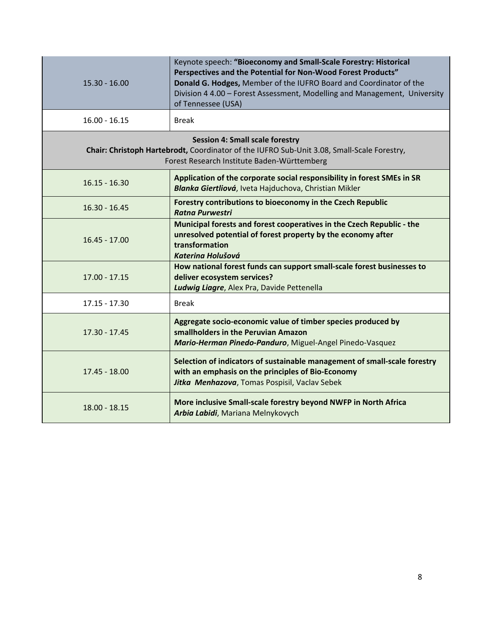| $15.30 - 16.00$                                                                                                                                                                     | Keynote speech: "Bioeconomy and Small-Scale Forestry: Historical<br>Perspectives and the Potential for Non-Wood Forest Products"<br>Donald G. Hodges, Member of the IUFRO Board and Coordinator of the<br>Division 4 4.00 - Forest Assessment, Modelling and Management, University<br>of Tennessee (USA) |
|-------------------------------------------------------------------------------------------------------------------------------------------------------------------------------------|-----------------------------------------------------------------------------------------------------------------------------------------------------------------------------------------------------------------------------------------------------------------------------------------------------------|
| $16.00 - 16.15$                                                                                                                                                                     | <b>Break</b>                                                                                                                                                                                                                                                                                              |
| <b>Session 4: Small scale forestry</b><br>Chair: Christoph Hartebrodt, Coordinator of the IUFRO Sub-Unit 3.08, Small-Scale Forestry,<br>Forest Research Institute Baden-Württemberg |                                                                                                                                                                                                                                                                                                           |
| $16.15 - 16.30$                                                                                                                                                                     | Application of the corporate social responsibility in forest SMEs in SR<br>Blanka Giertliová, Iveta Hajduchova, Christian Mikler                                                                                                                                                                          |
| $16.30 - 16.45$                                                                                                                                                                     | Forestry contributions to bioeconomy in the Czech Republic<br><b>Ratna Purwestri</b>                                                                                                                                                                                                                      |
| $16.45 - 17.00$                                                                                                                                                                     | Municipal forests and forest cooperatives in the Czech Republic - the<br>unresolved potential of forest property by the economy after<br>transformation<br><b>Katerina Holušová</b>                                                                                                                       |
| $17.00 - 17.15$                                                                                                                                                                     | How national forest funds can support small-scale forest businesses to<br>deliver ecosystem services?<br>Ludwig Liagre, Alex Pra, Davide Pettenella                                                                                                                                                       |
| $17.15 - 17.30$                                                                                                                                                                     | <b>Break</b>                                                                                                                                                                                                                                                                                              |
| $17.30 - 17.45$                                                                                                                                                                     | Aggregate socio-economic value of timber species produced by<br>smallholders in the Peruvian Amazon<br>Mario-Herman Pinedo-Panduro, Miguel-Angel Pinedo-Vasquez                                                                                                                                           |
| $17.45 - 18.00$                                                                                                                                                                     | Selection of indicators of sustainable management of small-scale forestry<br>with an emphasis on the principles of Bio-Economy<br>Jitka Menhazova, Tomas Pospisil, Vaclav Sebek                                                                                                                           |
| $18.00 - 18.15$                                                                                                                                                                     | More inclusive Small-scale forestry beyond NWFP in North Africa<br>Arbia Labidi, Mariana Melnykovych                                                                                                                                                                                                      |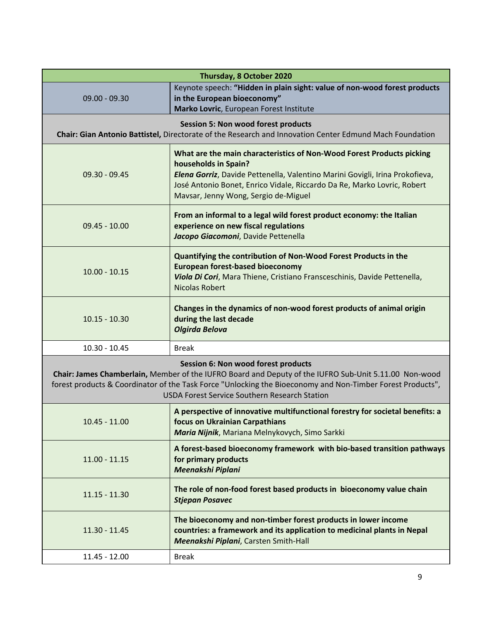| Thursday, 8 October 2020                                                                                                                                                                                                                                                                                           |                                                                                                                                                                                                                                                                                                  |  |
|--------------------------------------------------------------------------------------------------------------------------------------------------------------------------------------------------------------------------------------------------------------------------------------------------------------------|--------------------------------------------------------------------------------------------------------------------------------------------------------------------------------------------------------------------------------------------------------------------------------------------------|--|
| $09.00 - 09.30$                                                                                                                                                                                                                                                                                                    | Keynote speech: "Hidden in plain sight: value of non-wood forest products<br>in the European bioeconomy"<br>Marko Lovric, European Forest Institute                                                                                                                                              |  |
| <b>Session 5: Non wood forest products</b><br>Chair: Gian Antonio Battistel, Directorate of the Research and Innovation Center Edmund Mach Foundation                                                                                                                                                              |                                                                                                                                                                                                                                                                                                  |  |
| $09.30 - 09.45$                                                                                                                                                                                                                                                                                                    | What are the main characteristics of Non-Wood Forest Products picking<br>households in Spain?<br>Elena Gorriz, Davide Pettenella, Valentino Marini Govigli, Irina Prokofieva,<br>José Antonio Bonet, Enrico Vidale, Riccardo Da Re, Marko Lovric, Robert<br>Mavsar, Jenny Wong, Sergio de-Miguel |  |
| $09.45 - 10.00$                                                                                                                                                                                                                                                                                                    | From an informal to a legal wild forest product economy: the Italian<br>experience on new fiscal regulations<br>Jacopo Giacomoni, Davide Pettenella                                                                                                                                              |  |
| $10.00 - 10.15$                                                                                                                                                                                                                                                                                                    | Quantifying the contribution of Non-Wood Forest Products in the<br><b>European forest-based bioeconomy</b><br>Viola Di Cori, Mara Thiene, Cristiano Fransceschinis, Davide Pettenella,<br><b>Nicolas Robert</b>                                                                                  |  |
| $10.15 - 10.30$                                                                                                                                                                                                                                                                                                    | Changes in the dynamics of non-wood forest products of animal origin<br>during the last decade<br><b>Olgirda Belova</b>                                                                                                                                                                          |  |
| $10.30 - 10.45$                                                                                                                                                                                                                                                                                                    | <b>Break</b>                                                                                                                                                                                                                                                                                     |  |
| Session 6: Non wood forest products<br>Chair: James Chamberlain, Member of the IUFRO Board and Deputy of the IUFRO Sub-Unit 5.11.00 Non-wood<br>forest products & Coordinator of the Task Force "Unlocking the Bioeconomy and Non-Timber Forest Products",<br><b>USDA Forest Service Southern Research Station</b> |                                                                                                                                                                                                                                                                                                  |  |
| $10.45 - 11.00$                                                                                                                                                                                                                                                                                                    | A perspective of innovative multifunctional forestry for societal benefits: a<br>focus on Ukrainian Carpathians<br>Maria Nijnik, Mariana Melnykovych, Simo Sarkki                                                                                                                                |  |
| $11.00 - 11.15$                                                                                                                                                                                                                                                                                                    | A forest-based bioeconomy framework with bio-based transition pathways<br>for primary products<br>Meenakshi Piplani                                                                                                                                                                              |  |
| $11.15 - 11.30$                                                                                                                                                                                                                                                                                                    | The role of non-food forest based products in bioeconomy value chain<br><b>Stjepan Posavec</b>                                                                                                                                                                                                   |  |
| $11.30 - 11.45$                                                                                                                                                                                                                                                                                                    | The bioeconomy and non-timber forest products in lower income<br>countries: a framework and its application to medicinal plants in Nepal<br>Meenakshi Piplani, Carsten Smith-Hall                                                                                                                |  |
| 11.45 - 12.00                                                                                                                                                                                                                                                                                                      | <b>Break</b>                                                                                                                                                                                                                                                                                     |  |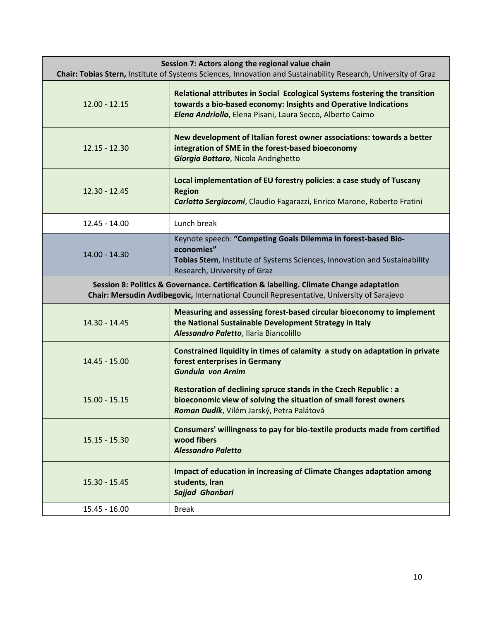| Session 7: Actors along the regional value chain<br>Chair: Tobias Stern, Institute of Systems Sciences, Innovation and Sustainability Research, University of Graz                  |                                                                                                                                                                                                             |  |
|-------------------------------------------------------------------------------------------------------------------------------------------------------------------------------------|-------------------------------------------------------------------------------------------------------------------------------------------------------------------------------------------------------------|--|
| $12.00 - 12.15$                                                                                                                                                                     | Relational attributes in Social Ecological Systems fostering the transition<br>towards a bio-based economy: Insights and Operative Indications<br>Elena Andriollo, Elena Pisani, Laura Secco, Alberto Caimo |  |
| $12.15 - 12.30$                                                                                                                                                                     | New development of Italian forest owner associations: towards a better<br>integration of SME in the forest-based bioeconomy<br>Giorgia Bottaro, Nicola Andrighetto                                          |  |
| $12.30 - 12.45$                                                                                                                                                                     | Local implementation of EU forestry policies: a case study of Tuscany<br><b>Region</b><br>Carlotta Sergiacomi, Claudio Fagarazzi, Enrico Marone, Roberto Fratini                                            |  |
| 12.45 - 14.00                                                                                                                                                                       | Lunch break                                                                                                                                                                                                 |  |
| 14.00 - 14.30                                                                                                                                                                       | Keynote speech: "Competing Goals Dilemma in forest-based Bio-<br>economies"<br>Tobias Stern, Institute of Systems Sciences, Innovation and Sustainability<br>Research, University of Graz                   |  |
| Session 8: Politics & Governance. Certification & labelling. Climate Change adaptation<br>Chair: Mersudin Avdibegovic, International Council Representative, University of Sarajevo |                                                                                                                                                                                                             |  |
| 14.30 - 14.45                                                                                                                                                                       | Measuring and assessing forest-based circular bioeconomy to implement<br>the National Sustainable Development Strategy in Italy<br>Alessandro Paletto, Ilaria Biancolillo                                   |  |
| 14.45 - 15.00                                                                                                                                                                       | Constrained liquidity in times of calamity a study on adaptation in private<br>forest enterprises in Germany<br><b>Gundula von Arnim</b>                                                                    |  |
| $15.00 - 15.15$                                                                                                                                                                     | Restoration of declining spruce stands in the Czech Republic : a<br>bioeconomic view of solving the situation of small forest owners<br>Roman Dudík, Vilém Jarský, Petra Palátová                           |  |
| $15.15 - 15.30$                                                                                                                                                                     | Consumers' willingness to pay for bio-textile products made from certified<br>wood fibers<br><b>Alessandro Paletto</b>                                                                                      |  |
| $15.30 - 15.45$                                                                                                                                                                     | Impact of education in increasing of Climate Changes adaptation among<br>students, Iran<br>Sajjad Ghanbari                                                                                                  |  |
| $15.45 - 16.00$                                                                                                                                                                     | <b>Break</b>                                                                                                                                                                                                |  |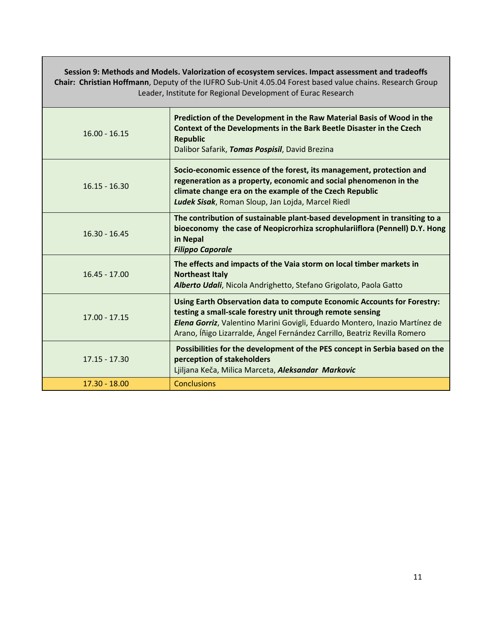| Session 9: Methods and Models. Valorization of ecosystem services. Impact assessment and tradeoffs<br>Chair: Christian Hoffmann, Deputy of the IUFRO Sub-Unit 4.05.04 Forest based value chains. Research Group<br>Leader, Institute for Regional Development of Eurac Research |                                                                                                                                                                                                                                                                                                   |  |
|---------------------------------------------------------------------------------------------------------------------------------------------------------------------------------------------------------------------------------------------------------------------------------|---------------------------------------------------------------------------------------------------------------------------------------------------------------------------------------------------------------------------------------------------------------------------------------------------|--|
| $16.00 - 16.15$                                                                                                                                                                                                                                                                 | Prediction of the Development in the Raw Material Basis of Wood in the<br>Context of the Developments in the Bark Beetle Disaster in the Czech<br><b>Republic</b><br>Dalibor Safarik, Tomas Pospisil, David Brezina                                                                               |  |
| $16.15 - 16.30$                                                                                                                                                                                                                                                                 | Socio-economic essence of the forest, its management, protection and<br>regeneration as a property, economic and social phenomenon in the<br>climate change era on the example of the Czech Republic<br>Ludek Sisak, Roman Sloup, Jan Lojda, Marcel Riedl                                         |  |
| $16.30 - 16.45$                                                                                                                                                                                                                                                                 | The contribution of sustainable plant-based development in transiting to a<br>bioeconomy the case of Neopicrorhiza scrophulariiflora (Pennell) D.Y. Hong<br>in Nepal<br><b>Filippo Caporale</b>                                                                                                   |  |
| $16.45 - 17.00$                                                                                                                                                                                                                                                                 | The effects and impacts of the Vaia storm on local timber markets in<br><b>Northeast Italy</b><br>Alberto Udali, Nicola Andrighetto, Stefano Grigolato, Paola Gatto                                                                                                                               |  |
| $17.00 - 17.15$                                                                                                                                                                                                                                                                 | Using Earth Observation data to compute Economic Accounts for Forestry:<br>testing a small-scale forestry unit through remote sensing<br>Elena Gorriz, Valentino Marini Govigli, Eduardo Montero, Inazio Martínez de<br>Arano, Íñigo Lizarralde, Ángel Fernández Carrillo, Beatriz Revilla Romero |  |
| $17.15 - 17.30$                                                                                                                                                                                                                                                                 | Possibilities for the development of the PES concept in Serbia based on the<br>perception of stakeholders<br>Ljiljana Keča, Milica Marceta, Aleksandar Markovic                                                                                                                                   |  |
| 17.30 - 18.00                                                                                                                                                                                                                                                                   | <b>Conclusions</b>                                                                                                                                                                                                                                                                                |  |

Г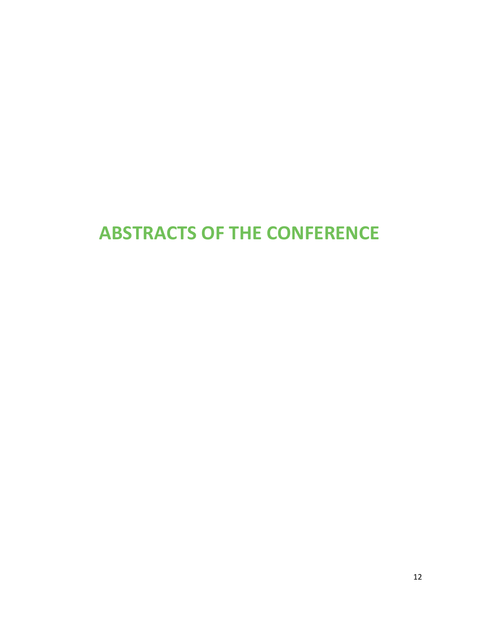# **ABSTRACTS OF THE CONFERENCE**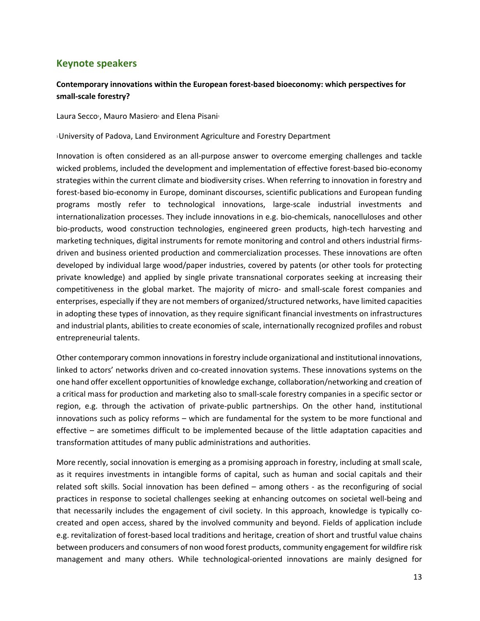# **Keynote speakers**

## **Contemporary innovations within the European forest‐based bioeconomy: which perspectives for small‐scale forestry?**

Laura Secco<sup>1</sup>, Mauro Masiero<sup>1</sup> and Elena Pisani<sup>1</sup>

1 University of Padova, Land Environment Agriculture and Forestry Department

Innovation is often considered as an all‐purpose answer to overcome emerging challenges and tackle wicked problems, included the development and implementation of effective forest-based bio-economy strategies within the current climate and biodiversity crises. When referring to innovation in forestry and forest-based bio-economy in Europe, dominant discourses, scientific publications and European funding programs mostly refer to technological innovations, large‐scale industrial investments and internationalization processes. They include innovations in e.g. bio-chemicals, nanocelluloses and other bio‐products, wood construction technologies, engineered green products, high‐tech harvesting and marketing techniques, digital instruments for remote monitoring and control and others industrial firms‐ driven and business oriented production and commercialization processes. These innovations are often developed by individual large wood/paper industries, covered by patents (or other tools for protecting private knowledge) and applied by single private transnational corporates seeking at increasing their competitiveness in the global market. The majority of micro‐ and small‐scale forest companies and enterprises, especially if they are not members of organized/structured networks, have limited capacities in adopting these types of innovation, as they require significant financial investments on infrastructures and industrial plants, abilities to create economies of scale, internationally recognized profiles and robust entrepreneurial talents.

Other contemporary common innovations in forestry include organizational and institutional innovations, linked to actors' networks driven and co-created innovation systems. These innovations systems on the one hand offer excellent opportunities of knowledge exchange, collaboration/networking and creation of a critical mass for production and marketing also to small‐scale forestry companies in a specific sector or region, e.g. through the activation of private-public partnerships. On the other hand, institutional innovations such as policy reforms – which are fundamental for the system to be more functional and effective – are sometimes difficult to be implemented because of the little adaptation capacities and transformation attitudes of many public administrations and authorities.

More recently, social innovation is emerging as a promising approach in forestry, including at small scale, as it requires investments in intangible forms of capital, such as human and social capitals and their related soft skills. Social innovation has been defined – among others - as the reconfiguring of social practices in response to societal challenges seeking at enhancing outcomes on societal well‐being and that necessarily includes the engagement of civil society. In this approach, knowledge is typically cocreated and open access, shared by the involved community and beyond. Fields of application include e.g. revitalization of forest‐based local traditions and heritage, creation of short and trustful value chains between producers and consumers of non wood forest products, community engagement for wildfire risk management and many others. While technological‐oriented innovations are mainly designed for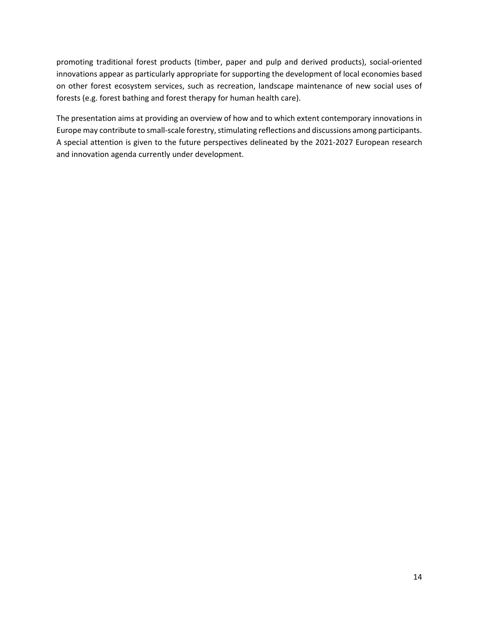promoting traditional forest products (timber, paper and pulp and derived products), social‐oriented innovations appear as particularly appropriate for supporting the development of local economies based on other forest ecosystem services, such as recreation, landscape maintenance of new social uses of forests (e.g. forest bathing and forest therapy for human health care).

The presentation aims at providing an overview of how and to which extent contemporary innovations in Europe may contribute to small‐scale forestry, stimulating reflections and discussions among participants. A special attention is given to the future perspectives delineated by the 2021‐2027 European research and innovation agenda currently under development.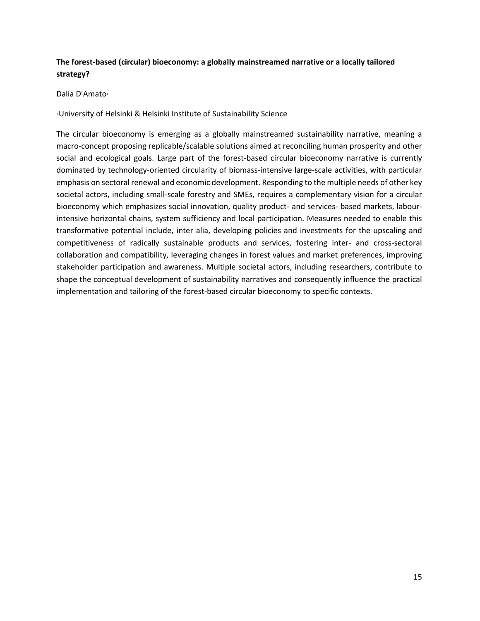# **The forest‐based (circular) bioeconomy: a globally mainstreamed narrative or a locally tailored strategy?**

Dalia D'Amato<sup>1</sup>

1 University of Helsinki & Helsinki Institute of Sustainability Science

The circular bioeconomy is emerging as a globally mainstreamed sustainability narrative, meaning a macro‐concept proposing replicable/scalable solutions aimed at reconciling human prosperity and other social and ecological goals. Large part of the forest-based circular bioeconomy narrative is currently dominated by technology‐oriented circularity of biomass‐intensive large‐scale activities, with particular emphasis on sectoral renewal and economic development. Responding to the multiple needs of other key societal actors, including small‐scale forestry and SMEs, requires a complementary vision for a circular bioeconomy which emphasizes social innovation, quality product- and services- based markets, labourintensive horizontal chains, system sufficiency and local participation. Measures needed to enable this transformative potential include, inter alia, developing policies and investments for the upscaling and competitiveness of radically sustainable products and services, fostering inter- and cross-sectoral collaboration and compatibility, leveraging changes in forest values and market preferences, improving stakeholder participation and awareness. Multiple societal actors, including researchers, contribute to shape the conceptual development of sustainability narratives and consequently influence the practical implementation and tailoring of the forest-based circular bioeconomy to specific contexts.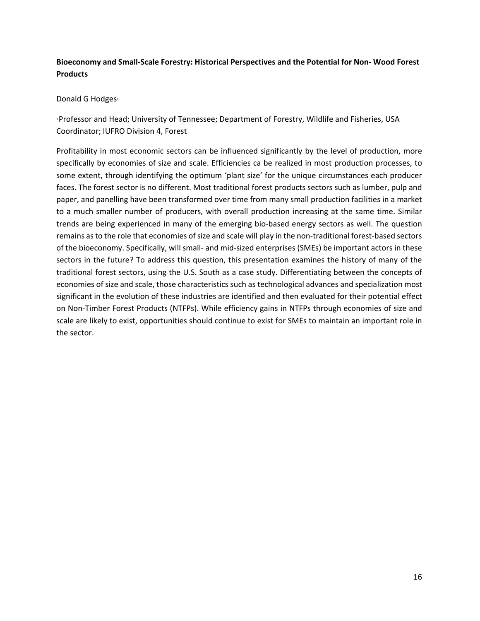## **Bioeconomy and Small‐Scale Forestry: Historical Perspectives and the Potential for Non‐ Wood Forest Products**

#### Donald G Hodges<sup>1</sup>

1 Professor and Head; University of Tennessee; Department of Forestry, Wildlife and Fisheries, USA Coordinator; IUFRO Division 4, Forest

Profitability in most economic sectors can be influenced significantly by the level of production, more specifically by economies of size and scale. Efficiencies ca be realized in most production processes, to some extent, through identifying the optimum 'plant size' for the unique circumstances each producer faces. The forest sector is no different. Most traditional forest products sectors such as lumber, pulp and paper, and panelling have been transformed over time from many small production facilities in a market to a much smaller number of producers, with overall production increasing at the same time. Similar trends are being experienced in many of the emerging bio‐based energy sectors as well. The question remains as to the role that economies of size and scale will play in the non-traditional forest-based sectors of the bioeconomy. Specifically, will small‐ and mid‐sized enterprises (SMEs) be important actors in these sectors in the future? To address this question, this presentation examines the history of many of the traditional forest sectors, using the U.S. South as a case study. Differentiating between the concepts of economies of size and scale, those characteristics such as technological advances and specialization most significant in the evolution of these industries are identified and then evaluated for their potential effect on Non‐Timber Forest Products (NTFPs). While efficiency gains in NTFPs through economies of size and scale are likely to exist, opportunities should continue to exist for SMEs to maintain an important role in the sector.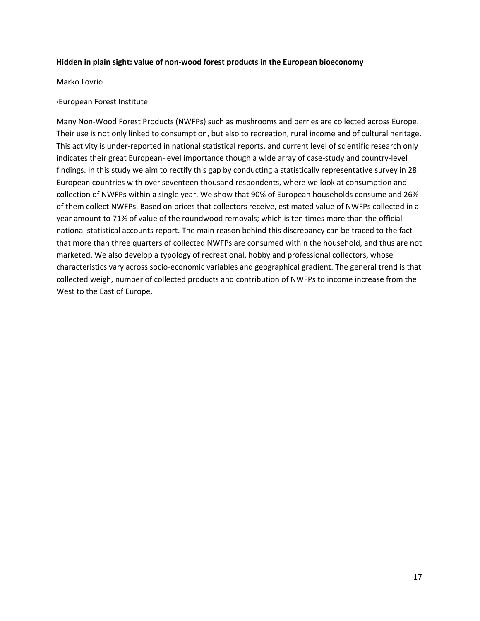#### **Hidden in plain sight: value of non‐wood forest products in the European bioeconomy**

Marko Lovric<sup>1</sup>

#### 1 European Forest Institute

Many Non‐Wood Forest Products (NWFPs) such as mushrooms and berries are collected across Europe. Their use is not only linked to consumption, but also to recreation, rural income and of cultural heritage. This activity is under‐reported in national statistical reports, and current level of scientific research only indicates their great European‐level importance though a wide array of case‐study and country‐level findings. In this study we aim to rectify this gap by conducting a statistically representative survey in 28 European countries with over seventeen thousand respondents, where we look at consumption and collection of NWFPs within a single year. We show that 90% of European households consume and 26% of them collect NWFPs. Based on prices that collectors receive, estimated value of NWFPs collected in a year amount to 71% of value of the roundwood removals; which is ten times more than the official national statistical accounts report. The main reason behind this discrepancy can be traced to the fact that more than three quarters of collected NWFPs are consumed within the household, and thus are not marketed. We also develop a typology of recreational, hobby and professional collectors, whose characteristics vary across socio‐economic variables and geographical gradient. The general trend is that collected weigh, number of collected products and contribution of NWFPs to income increase from the West to the East of Europe.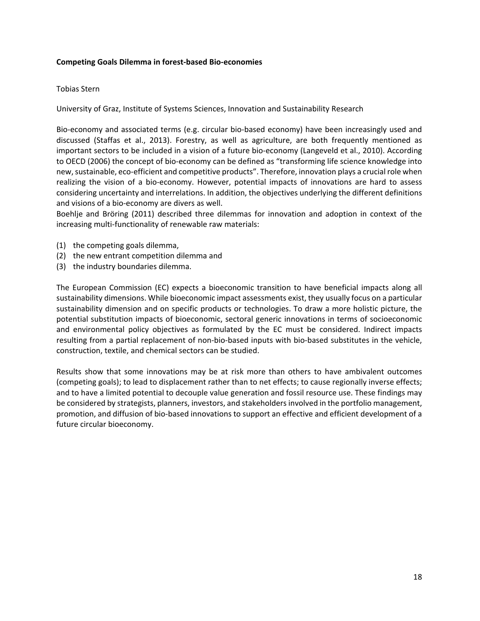#### **Competing Goals Dilemma in forest‐based Bio‐economies**

#### Tobias Stern

University of Graz, Institute of Systems Sciences, Innovation and Sustainability Research

Bio-economy and associated terms (e.g. circular bio-based economy) have been increasingly used and discussed (Staffas et al., 2013). Forestry, as well as agriculture, are both frequently mentioned as important sectors to be included in a vision of a future bio‐economy (Langeveld et al., 2010). According to OECD (2006) the concept of bio‐economy can be defined as "transforming life science knowledge into new, sustainable, eco‐efficient and competitive products". Therefore, innovation plays a crucial role when realizing the vision of a bio‐economy. However, potential impacts of innovations are hard to assess considering uncertainty and interrelations. In addition, the objectives underlying the different definitions and visions of a bio‐economy are divers as well.

Boehlje and Bröring (2011) described three dilemmas for innovation and adoption in context of the increasing multi-functionality of renewable raw materials:

- (1) the competing goals dilemma,
- (2) the new entrant competition dilemma and
- (3) the industry boundaries dilemma.

The European Commission (EC) expects a bioeconomic transition to have beneficial impacts along all sustainability dimensions. While bioeconomic impact assessments exist, they usually focus on a particular sustainability dimension and on specific products or technologies. To draw a more holistic picture, the potential substitution impacts of bioeconomic, sectoral generic innovations in terms of socioeconomic and environmental policy objectives as formulated by the EC must be considered. Indirect impacts resulting from a partial replacement of non-bio-based inputs with bio-based substitutes in the vehicle, construction, textile, and chemical sectors can be studied.

Results show that some innovations may be at risk more than others to have ambivalent outcomes (competing goals); to lead to displacement rather than to net effects; to cause regionally inverse effects; and to have a limited potential to decouple value generation and fossil resource use. These findings may be considered by strategists, planners, investors, and stakeholders involved in the portfolio management, promotion, and diffusion of bio‐based innovations to support an effective and efficient development of a future circular bioeconomy.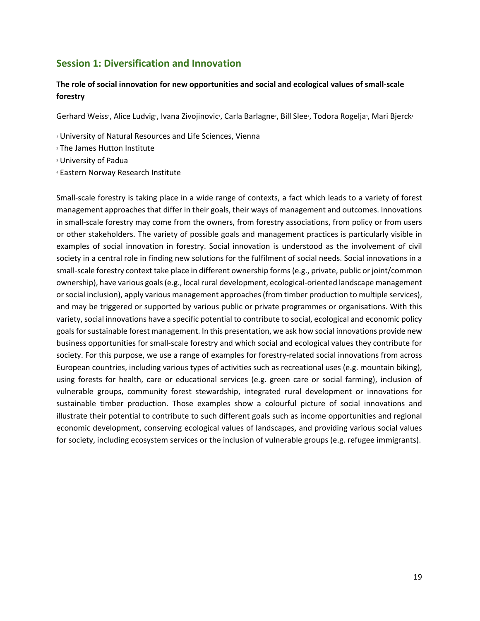# **Session 1: Diversification and Innovation**

## **The role of social innovation for new opportunities and social and ecological values of small‐scale forestry**

Gerhard Weiss:, Alice Ludvig:, Ivana Zivojinovic:, Carla Barlagne:, Bill Slee:, Todora Rogelja:, Mari Bjerck4

- 1 University of Natural Resources and Life Sciences, Vienna
- 2 The James Hutton Institute
- 3 University of Padua
- 4 Eastern Norway Research Institute

Small-scale forestry is taking place in a wide range of contexts, a fact which leads to a variety of forest management approaches that differ in their goals, their ways of management and outcomes. Innovations in small‐scale forestry may come from the owners, from forestry associations, from policy or from users or other stakeholders. The variety of possible goals and management practices is particularly visible in examples of social innovation in forestry. Social innovation is understood as the involvement of civil society in a central role in finding new solutions for the fulfilment of social needs. Social innovations in a small-scale forestry context take place in different ownership forms (e.g., private, public or joint/common ownership), have various goals (e.g., local rural development, ecological‐oriented landscape management or social inclusion), apply various management approaches (from timber production to multiple services), and may be triggered or supported by various public or private programmes or organisations. With this variety, social innovations have a specific potential to contribute to social, ecological and economic policy goals for sustainable forest management. In this presentation, we ask how social innovations provide new business opportunities for small‐scale forestry and which social and ecological values they contribute for society. For this purpose, we use a range of examples for forestry-related social innovations from across European countries, including various types of activities such as recreational uses (e.g. mountain biking), using forests for health, care or educational services (e.g. green care or social farming), inclusion of vulnerable groups, community forest stewardship, integrated rural development or innovations for sustainable timber production. Those examples show a colourful picture of social innovations and illustrate their potential to contribute to such different goals such as income opportunities and regional economic development, conserving ecological values of landscapes, and providing various social values for society, including ecosystem services or the inclusion of vulnerable groups (e.g. refugee immigrants).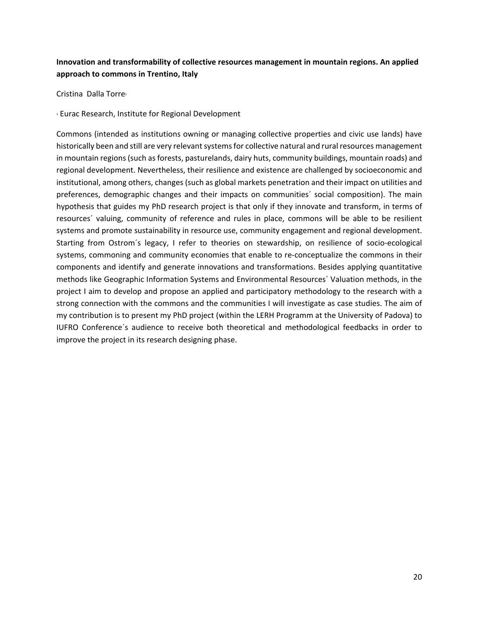# **Innovation and transformability of collective resources management in mountain regions. An applied approach to commons in Trentino, Italy**

Cristina Dalla Torre<sup>1</sup>

1 Eurac Research, Institute for Regional Development

Commons (intended as institutions owning or managing collective properties and civic use lands) have historically been and still are very relevant systems for collective natural and rural resources management in mountain regions (such as forests, pasturelands, dairy huts, community buildings, mountain roads) and regional development. Nevertheless, their resilience and existence are challenged by socioeconomic and institutional, among others, changes (such as global markets penetration and their impact on utilities and preferences, demographic changes and their impacts on communities´ social composition). The main hypothesis that guides my PhD research project is that only if they innovate and transform, in terms of resources´ valuing, community of reference and rules in place, commons will be able to be resilient systems and promote sustainability in resource use, community engagement and regional development. Starting from Ostrom´s legacy, I refer to theories on stewardship, on resilience of socio‐ecological systems, commoning and community economies that enable to re-conceptualize the commons in their components and identify and generate innovations and transformations. Besides applying quantitative methods like Geographic Information Systems and Environmental Resources´ Valuation methods, in the project I aim to develop and propose an applied and participatory methodology to the research with a strong connection with the commons and the communities I will investigate as case studies. The aim of my contribution is to present my PhD project (within the LERH Programm at the University of Padova) to IUFRO Conference´s audience to receive both theoretical and methodological feedbacks in order to improve the project in its research designing phase.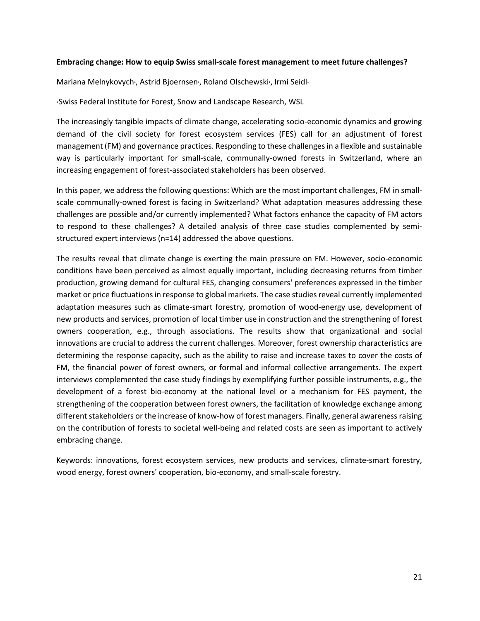#### **Embracing change: How to equip Swiss small‐scale forest management to meet future challenges?**

Mariana Melnykovych<sup>1</sup>, Astrid Bjoernsen<sup>1</sup>, Roland Olschewski<sup>1</sup>, Irmi Seidl<sup>1</sup>

#### 1 Swiss Federal Institute for Forest, Snow and Landscape Research, WSL

The increasingly tangible impacts of climate change, accelerating socio‐economic dynamics and growing demand of the civil society for forest ecosystem services (FES) call for an adjustment of forest management (FM) and governance practices. Responding to these challenges in a flexible and sustainable way is particularly important for small-scale, communally-owned forests in Switzerland, where an increasing engagement of forest‐associated stakeholders has been observed.

In this paper, we address the following questions: Which are the most important challenges, FM in smallscale communally-owned forest is facing in Switzerland? What adaptation measures addressing these challenges are possible and/or currently implemented? What factors enhance the capacity of FM actors to respond to these challenges? A detailed analysis of three case studies complemented by semistructured expert interviews (n=14) addressed the above questions.

The results reveal that climate change is exerting the main pressure on FM. However, socio‐economic conditions have been perceived as almost equally important, including decreasing returns from timber production, growing demand for cultural FES, changing consumers' preferences expressed in the timber market or price fluctuations in response to global markets. The case studies reveal currently implemented adaptation measures such as climate-smart forestry, promotion of wood-energy use, development of new products and services, promotion of local timber use in construction and the strengthening of forest owners cooperation, e.g., through associations. The results show that organizational and social innovations are crucial to address the current challenges. Moreover, forest ownership characteristics are determining the response capacity, such as the ability to raise and increase taxes to cover the costs of FM, the financial power of forest owners, or formal and informal collective arrangements. The expert interviews complemented the case study findings by exemplifying further possible instruments, e.g., the development of a forest bio-economy at the national level or a mechanism for FES payment, the strengthening of the cooperation between forest owners, the facilitation of knowledge exchange among different stakeholders or the increase of know‐how of forest managers. Finally, general awareness raising on the contribution of forests to societal well‐being and related costs are seen as important to actively embracing change.

Keywords: innovations, forest ecosystem services, new products and services, climate-smart forestry, wood energy, forest owners' cooperation, bio‐economy, and small‐scale forestry.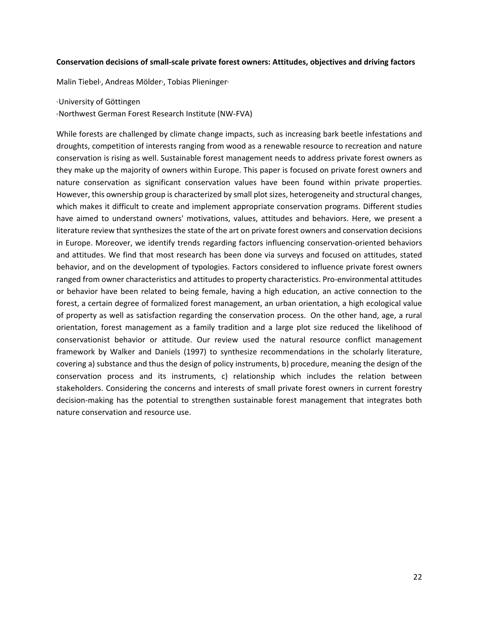#### **Conservation decisions of small‐scale private forest owners: Attitudes, objectives and driving factors**

Malin Tiebel<sup>1</sup>, Andreas Mölder<sup>2</sup>, Tobias Plieninger<sup>1</sup>

1 University of Göttingen

2 Northwest German Forest Research Institute (NW‐FVA)

While forests are challenged by climate change impacts, such as increasing bark beetle infestations and droughts, competition of interests ranging from wood as a renewable resource to recreation and nature conservation is rising as well. Sustainable forest management needs to address private forest owners as they make up the majority of owners within Europe. This paper is focused on private forest owners and nature conservation as significant conservation values have been found within private properties. However, this ownership group is characterized by small plot sizes, heterogeneity and structural changes, which makes it difficult to create and implement appropriate conservation programs. Different studies have aimed to understand owners' motivations, values, attitudes and behaviors. Here, we present a literature review that synthesizes the state of the art on private forest owners and conservation decisions in Europe. Moreover, we identify trends regarding factors influencing conservation‐oriented behaviors and attitudes. We find that most research has been done via surveys and focused on attitudes, stated behavior, and on the development of typologies. Factors considered to influence private forest owners ranged from owner characteristics and attitudes to property characteristics. Pro-environmental attitudes or behavior have been related to being female, having a high education, an active connection to the forest, a certain degree of formalized forest management, an urban orientation, a high ecological value of property as well as satisfaction regarding the conservation process. On the other hand, age, a rural orientation, forest management as a family tradition and a large plot size reduced the likelihood of conservationist behavior or attitude. Our review used the natural resource conflict management framework by Walker and Daniels (1997) to synthesize recommendations in the scholarly literature, covering a) substance and thus the design of policy instruments, b) procedure, meaning the design of the conservation process and its instruments, c) relationship which includes the relation between stakeholders. Considering the concerns and interests of small private forest owners in current forestry decision‐making has the potential to strengthen sustainable forest management that integrates both nature conservation and resource use.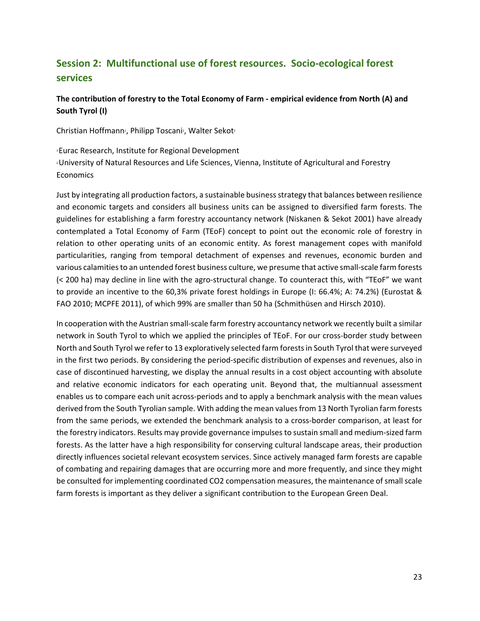# **Session 2: Multifunctional use of forest resources. Socio‐ecological forest services**

## **The contribution of forestry to the Total Economy of Farm ‐ empirical evidence from North (A) and South Tyrol (I)**

Christian Hoffmann<sup>1</sup>, Philipp Toscani<sup>2</sup>, Walter Sekot<sup>2</sup>

1 Eurac Research, Institute for Regional Development <sup>2</sup> University of Natural Resources and Life Sciences, Vienna, Institute of Agricultural and Forestry **Economics** 

Just by integrating all production factors, a sustainable business strategy that balances between resilience and economic targets and considers all business units can be assigned to diversified farm forests. The guidelines for establishing a farm forestry accountancy network (Niskanen & Sekot 2001) have already contemplated a Total Economy of Farm (TEoF) concept to point out the economic role of forestry in relation to other operating units of an economic entity. As forest management copes with manifold particularities, ranging from temporal detachment of expenses and revenues, economic burden and various calamities to an untended forest business culture, we presume that active small‐scale farm forests (< 200 ha) may decline in line with the agro‐structural change. To counteract this, with "TEoF" we want to provide an incentive to the 60,3% private forest holdings in Europe (I: 66.4%; A: 74.2%) (Eurostat & FAO 2010; MCPFE 2011), of which 99% are smaller than 50 ha (Schmithüsen and Hirsch 2010).

In cooperation with the Austrian small-scale farm forestry accountancy network we recently built a similar network in South Tyrol to which we applied the principles of TEoF. For our cross-border study between North and South Tyrol we refer to 13 exploratively selected farm forests in South Tyrol that were surveyed in the first two periods. By considering the period‐specific distribution of expenses and revenues, also in case of discontinued harvesting, we display the annual results in a cost object accounting with absolute and relative economic indicators for each operating unit. Beyond that, the multiannual assessment enables us to compare each unit across-periods and to apply a benchmark analysis with the mean values derived from the South Tyrolian sample. With adding the mean values from 13 North Tyrolian farm forests from the same periods, we extended the benchmark analysis to a cross-border comparison, at least for the forestry indicators. Results may provide governance impulses to sustain small and medium‐sized farm forests. As the latter have a high responsibility for conserving cultural landscape areas, their production directly influences societal relevant ecosystem services. Since actively managed farm forests are capable of combating and repairing damages that are occurring more and more frequently, and since they might be consulted for implementing coordinated CO2 compensation measures, the maintenance of small scale farm forests is important as they deliver a significant contribution to the European Green Deal.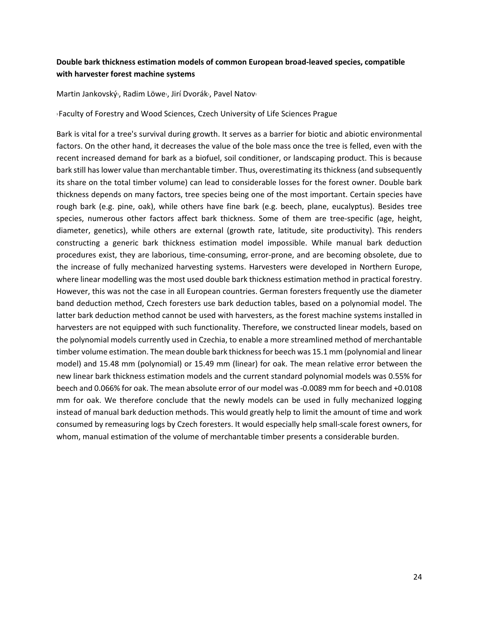## **Double bark thickness estimation models of common European broad‐leaved species, compatible with harvester forest machine systems**

Martin Jankovský<sup>1</sup>, Radim Löwe<sup>1</sup>, Jirí Dvorák<sup>1</sup>, Pavel Natov<sup>1</sup>

1 Faculty of Forestry and Wood Sciences, Czech University of Life Sciences Prague

Bark is vital for a tree's survival during growth. It serves as a barrier for biotic and abiotic environmental factors. On the other hand, it decreases the value of the bole mass once the tree is felled, even with the recent increased demand for bark as a biofuel, soil conditioner, or landscaping product. This is because bark still has lower value than merchantable timber. Thus, overestimating its thickness (and subsequently its share on the total timber volume) can lead to considerable losses for the forest owner. Double bark thickness depends on many factors, tree species being one of the most important. Certain species have rough bark (e.g. pine, oak), while others have fine bark (e.g. beech, plane, eucalyptus). Besides tree species, numerous other factors affect bark thickness. Some of them are tree-specific (age, height, diameter, genetics), while others are external (growth rate, latitude, site productivity). This renders constructing a generic bark thickness estimation model impossible. While manual bark deduction procedures exist, they are laborious, time‐consuming, error‐prone, and are becoming obsolete, due to the increase of fully mechanized harvesting systems. Harvesters were developed in Northern Europe, where linear modelling was the most used double bark thickness estimation method in practical forestry. However, this was not the case in all European countries. German foresters frequently use the diameter band deduction method, Czech foresters use bark deduction tables, based on a polynomial model. The latter bark deduction method cannot be used with harvesters, as the forest machine systems installed in harvesters are not equipped with such functionality. Therefore, we constructed linear models, based on the polynomial models currently used in Czechia, to enable a more streamlined method of merchantable timber volume estimation. The mean double bark thickness for beech was 15.1 mm (polynomial and linear model) and 15.48 mm (polynomial) or 15.49 mm (linear) for oak. The mean relative error between the new linear bark thickness estimation models and the current standard polynomial models was 0.55% for beech and 0.066% for oak. The mean absolute error of our model was ‐0.0089 mm for beech and +0.0108 mm for oak. We therefore conclude that the newly models can be used in fully mechanized logging instead of manual bark deduction methods. This would greatly help to limit the amount of time and work consumed by remeasuring logs by Czech foresters. It would especially help small‐scale forest owners, for whom, manual estimation of the volume of merchantable timber presents a considerable burden.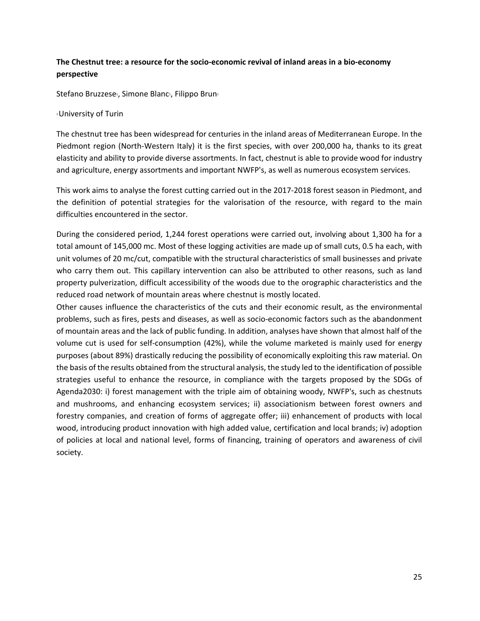# **The Chestnut tree: a resource for the socio‐economic revival of inland areas in a bio‐economy perspective**

Stefano Bruzzese<sup>1</sup>, Simone Blanc<sup>1</sup>, Filippo Brun<sup>1</sup>

#### 1 University of Turin

The chestnut tree has been widespread for centuries in the inland areas of Mediterranean Europe. In the Piedmont region (North-Western Italy) it is the first species, with over 200,000 ha, thanks to its great elasticity and ability to provide diverse assortments. In fact, chestnut is able to provide wood for industry and agriculture, energy assortments and important NWFP's, as well as numerous ecosystem services.

This work aims to analyse the forest cutting carried out in the 2017‐2018 forest season in Piedmont, and the definition of potential strategies for the valorisation of the resource, with regard to the main difficulties encountered in the sector.

During the considered period, 1,244 forest operations were carried out, involving about 1,300 ha for a total amount of 145,000 mc. Most of these logging activities are made up of small cuts, 0.5 ha each, with unit volumes of 20 mc/cut, compatible with the structural characteristics of small businesses and private who carry them out. This capillary intervention can also be attributed to other reasons, such as land property pulverization, difficult accessibility of the woods due to the orographic characteristics and the reduced road network of mountain areas where chestnut is mostly located.

Other causes influence the characteristics of the cuts and their economic result, as the environmental problems, such as fires, pests and diseases, as well as socio‐economic factors such as the abandonment of mountain areas and the lack of public funding. In addition, analyses have shown that almost half of the volume cut is used for self-consumption (42%), while the volume marketed is mainly used for energy purposes (about 89%) drastically reducing the possibility of economically exploiting this raw material. On the basis of the results obtained from the structural analysis, the study led to the identification of possible strategies useful to enhance the resource, in compliance with the targets proposed by the SDGs of Agenda2030: i) forest management with the triple aim of obtaining woody, NWFP's, such as chestnuts and mushrooms, and enhancing ecosystem services; ii) associationism between forest owners and forestry companies, and creation of forms of aggregate offer; iii) enhancement of products with local wood, introducing product innovation with high added value, certification and local brands; iv) adoption of policies at local and national level, forms of financing, training of operators and awareness of civil society.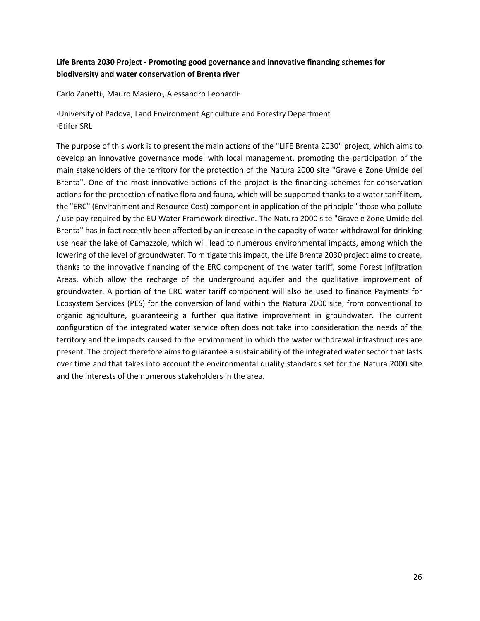## **Life Brenta 2030 Project ‐ Promoting good governance and innovative financing schemes for biodiversity and water conservation of Brenta river**

Carlo Zanetti<sup>1</sup>, Mauro Masiero<sup>1</sup>, Alessandro Leonardi<sup>2</sup>

1 University of Padova, Land Environment Agriculture and Forestry Department 2 Etifor SRL

The purpose of this work is to present the main actions of the "LIFE Brenta 2030" project, which aims to develop an innovative governance model with local management, promoting the participation of the main stakeholders of the territory for the protection of the Natura 2000 site "Grave e Zone Umide del Brenta". One of the most innovative actions of the project is the financing schemes for conservation actions for the protection of native flora and fauna, which will be supported thanks to a water tariff item, the "ERC" (Environment and Resource Cost) component in application of the principle "those who pollute / use pay required by the EU Water Framework directive. The Natura 2000 site "Grave e Zone Umide del Brenta" has in fact recently been affected by an increase in the capacity of water withdrawal for drinking use near the lake of Camazzole, which will lead to numerous environmental impacts, among which the lowering of the level of groundwater. To mitigate this impact, the Life Brenta 2030 project aims to create, thanks to the innovative financing of the ERC component of the water tariff, some Forest Infiltration Areas, which allow the recharge of the underground aquifer and the qualitative improvement of groundwater. A portion of the ERC water tariff component will also be used to finance Payments for Ecosystem Services (PES) for the conversion of land within the Natura 2000 site, from conventional to organic agriculture, guaranteeing a further qualitative improvement in groundwater. The current configuration of the integrated water service often does not take into consideration the needs of the territory and the impacts caused to the environment in which the water withdrawal infrastructures are present. The project therefore aims to guarantee a sustainability of the integrated water sector that lasts over time and that takes into account the environmental quality standards set for the Natura 2000 site and the interests of the numerous stakeholders in the area.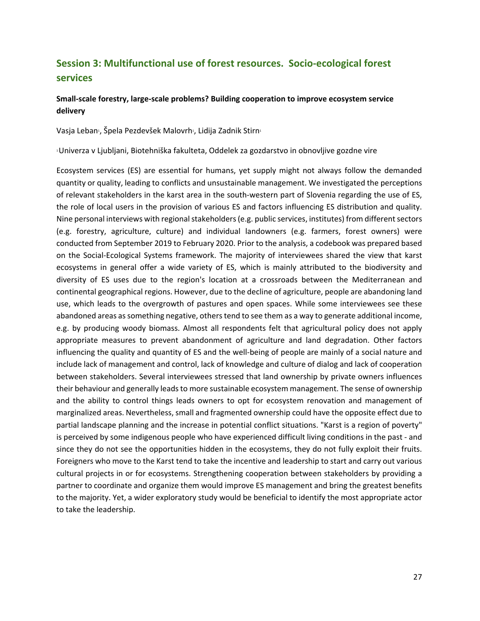# **Session 3: Multifunctional use of forest resources. Socio‐ecological forest services**

## **Small‐scale forestry, large‐scale problems? Building cooperation to improve ecosystem service delivery**

Vasja Leban<sup>1</sup>, Špela Pezdevšek Malovrh<sup>1</sup>, Lidija Zadnik Stirn<sup>1</sup>

1 Univerza v Ljubljani, Biotehniška fakulteta, Oddelek za gozdarstvo in obnovljive gozdne vire

Ecosystem services (ES) are essential for humans, yet supply might not always follow the demanded quantity or quality, leading to conflicts and unsustainable management. We investigated the perceptions of relevant stakeholders in the karst area in the south‐western part of Slovenia regarding the use of ES, the role of local users in the provision of various ES and factors influencing ES distribution and quality. Nine personal interviews with regional stakeholders (e.g. public services, institutes) from different sectors (e.g. forestry, agriculture, culture) and individual landowners (e.g. farmers, forest owners) were conducted from September 2019 to February 2020. Prior to the analysis, a codebook was prepared based on the Social‐Ecological Systems framework. The majority of interviewees shared the view that karst ecosystems in general offer a wide variety of ES, which is mainly attributed to the biodiversity and diversity of ES uses due to the region's location at a crossroads between the Mediterranean and continental geographical regions. However, due to the decline of agriculture, people are abandoning land use, which leads to the overgrowth of pastures and open spaces. While some interviewees see these abandoned areas as something negative, others tend to see them as a way to generate additional income, e.g. by producing woody biomass. Almost all respondents felt that agricultural policy does not apply appropriate measures to prevent abandonment of agriculture and land degradation. Other factors influencing the quality and quantity of ES and the well‐being of people are mainly of a social nature and include lack of management and control, lack of knowledge and culture of dialog and lack of cooperation between stakeholders. Several interviewees stressed that land ownership by private owners influences their behaviour and generally leads to more sustainable ecosystem management. The sense of ownership and the ability to control things leads owners to opt for ecosystem renovation and management of marginalized areas. Nevertheless, small and fragmented ownership could have the opposite effect due to partial landscape planning and the increase in potential conflict situations. "Karst is a region of poverty" is perceived by some indigenous people who have experienced difficult living conditions in the past ‐ and since they do not see the opportunities hidden in the ecosystems, they do not fully exploit their fruits. Foreigners who move to the Karst tend to take the incentive and leadership to start and carry out various cultural projects in or for ecosystems. Strengthening cooperation between stakeholders by providing a partner to coordinate and organize them would improve ES management and bring the greatest benefits to the majority. Yet, a wider exploratory study would be beneficial to identify the most appropriate actor to take the leadership.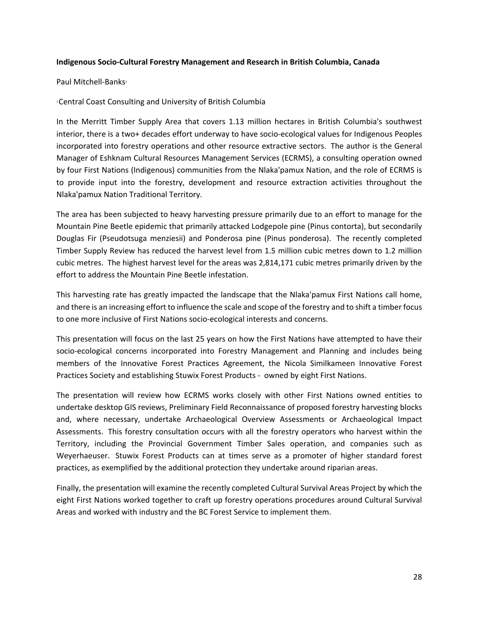#### **Indigenous Socio‐Cultural Forestry Management and Research in British Columbia, Canada**

#### Paul Mitchell-Banks<sup>1</sup>

#### 1 Central Coast Consulting and University of British Columbia

In the Merritt Timber Supply Area that covers 1.13 million hectares in British Columbia's southwest interior, there is a two+ decades effort underway to have socio‐ecological values for Indigenous Peoples incorporated into forestry operations and other resource extractive sectors. The author is the General Manager of Eshknam Cultural Resources Management Services (ECRMS), a consulting operation owned by four First Nations (Indigenous) communities from the Nlaka'pamux Nation, and the role of ECRMS is to provide input into the forestry, development and resource extraction activities throughout the Nlaka'pamux Nation Traditional Territory.

The area has been subjected to heavy harvesting pressure primarily due to an effort to manage for the Mountain Pine Beetle epidemic that primarily attacked Lodgepole pine (Pinus contorta), but secondarily Douglas Fir (Pseudotsuga menziesii) and Ponderosa pine (Pinus ponderosa). The recently completed Timber Supply Review has reduced the harvest level from 1.5 million cubic metres down to 1.2 million cubic metres. The highest harvest level for the areas was 2,814,171 cubic metres primarily driven by the effort to address the Mountain Pine Beetle infestation.

This harvesting rate has greatly impacted the landscape that the Nlaka'pamux First Nations call home, and there is an increasing effort to influence the scale and scope of the forestry and to shift a timber focus to one more inclusive of First Nations socio‐ecological interests and concerns.

This presentation will focus on the last 25 years on how the First Nations have attempted to have their socio-ecological concerns incorporated into Forestry Management and Planning and includes being members of the Innovative Forest Practices Agreement, the Nicola Similkameen Innovative Forest Practices Society and establishing Stuwix Forest Products - owned by eight First Nations.

The presentation will review how ECRMS works closely with other First Nations owned entities to undertake desktop GIS reviews, Preliminary Field Reconnaissance of proposed forestry harvesting blocks and, where necessary, undertake Archaeological Overview Assessments or Archaeological Impact Assessments. This forestry consultation occurs with all the forestry operators who harvest within the Territory, including the Provincial Government Timber Sales operation, and companies such as Weyerhaeuser. Stuwix Forest Products can at times serve as a promoter of higher standard forest practices, as exemplified by the additional protection they undertake around riparian areas.

Finally, the presentation will examine the recently completed Cultural Survival Areas Project by which the eight First Nations worked together to craft up forestry operations procedures around Cultural Survival Areas and worked with industry and the BC Forest Service to implement them.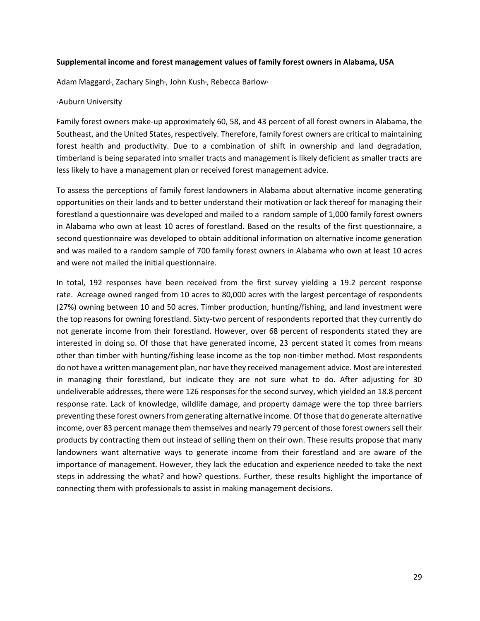#### **Supplemental income and forest management values of family forest owners in Alabama, USA**

Adam Maggard<sup>1</sup>, Zachary Singh<sup>1</sup>, John Kush<sup>1</sup>, Rebecca Barlow<sup>1</sup>

#### 1 Auburn University

Family forest owners make‐up approximately 60, 58, and 43 percent of all forest owners in Alabama, the Southeast, and the United States, respectively. Therefore, family forest owners are critical to maintaining forest health and productivity. Due to a combination of shift in ownership and land degradation, timberland is being separated into smaller tracts and management is likely deficient as smaller tracts are less likely to have a management plan or received forest management advice.

To assess the perceptions of family forest landowners in Alabama about alternative income generating opportunities on their lands and to better understand their motivation or lack thereof for managing their forestland a questionnaire was developed and mailed to a random sample of 1,000 family forest owners in Alabama who own at least 10 acres of forestland. Based on the results of the first questionnaire, a second questionnaire was developed to obtain additional information on alternative income generation and was mailed to a random sample of 700 family forest owners in Alabama who own at least 10 acres and were not mailed the initial questionnaire.

In total, 192 responses have been received from the first survey yielding a 19.2 percent response rate. Acreage owned ranged from 10 acres to 80,000 acres with the largest percentage of respondents (27%) owning between 10 and 50 acres. Timber production, hunting/fishing, and land investment were the top reasons for owning forestland. Sixty-two percent of respondents reported that they currently do not generate income from their forestland. However, over 68 percent of respondents stated they are interested in doing so. Of those that have generated income, 23 percent stated it comes from means other than timber with hunting/fishing lease income as the top non‐timber method. Most respondents do not have a written management plan, nor have they received management advice. Most are interested in managing their forestland, but indicate they are not sure what to do. After adjusting for 30 undeliverable addresses, there were 126 responses for the second survey, which yielded an 18.8 percent response rate. Lack of knowledge, wildlife damage, and property damage were the top three barriers preventing these forest owners from generating alternative income. Of those that do generate alternative income, over 83 percent manage them themselves and nearly 79 percent of those forest owners sell their products by contracting them out instead of selling them on their own. These results propose that many landowners want alternative ways to generate income from their forestland and are aware of the importance of management. However, they lack the education and experience needed to take the next steps in addressing the what? and how? questions. Further, these results highlight the importance of connecting them with professionals to assist in making management decisions.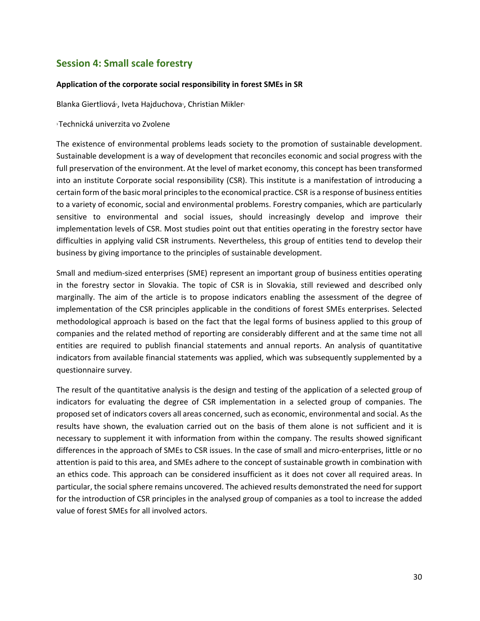# **Session 4: Small scale forestry**

#### **Application of the corporate social responsibility in forest SMEs in SR**

Blanka Giertliová<sup>1</sup>, Iveta Hajduchova<sup>1</sup>, Christian Mikler<sup>1</sup>

1 Technická univerzita vo Zvolene

The existence of environmental problems leads society to the promotion of sustainable development. Sustainable development is a way of development that reconciles economic and social progress with the full preservation of the environment. At the level of market economy, this concept has been transformed into an institute Corporate social responsibility (CSR). This institute is a manifestation of introducing a certain form of the basic moral principles to the economical practice. CSR is a response of business entities to a variety of economic, social and environmental problems. Forestry companies, which are particularly sensitive to environmental and social issues, should increasingly develop and improve their implementation levels of CSR. Most studies point out that entities operating in the forestry sector have difficulties in applying valid CSR instruments. Nevertheless, this group of entities tend to develop their business by giving importance to the principles of sustainable development.

Small and medium‐sized enterprises (SME) represent an important group of business entities operating in the forestry sector in Slovakia. The topic of CSR is in Slovakia, still reviewed and described only marginally. The aim of the article is to propose indicators enabling the assessment of the degree of implementation of the CSR principles applicable in the conditions of forest SMEs enterprises. Selected methodological approach is based on the fact that the legal forms of business applied to this group of companies and the related method of reporting are considerably different and at the same time not all entities are required to publish financial statements and annual reports. An analysis of quantitative indicators from available financial statements was applied, which was subsequently supplemented by a questionnaire survey.

The result of the quantitative analysis is the design and testing of the application of a selected group of indicators for evaluating the degree of CSR implementation in a selected group of companies. The proposed set of indicators covers all areas concerned, such as economic, environmental and social. As the results have shown, the evaluation carried out on the basis of them alone is not sufficient and it is necessary to supplement it with information from within the company. The results showed significant differences in the approach of SMEs to CSR issues. In the case of small and micro‐enterprises, little or no attention is paid to this area, and SMEs adhere to the concept of sustainable growth in combination with an ethics code. This approach can be considered insufficient as it does not cover all required areas. In particular, the social sphere remains uncovered. The achieved results demonstrated the need for support for the introduction of CSR principles in the analysed group of companies as a tool to increase the added value of forest SMEs for all involved actors.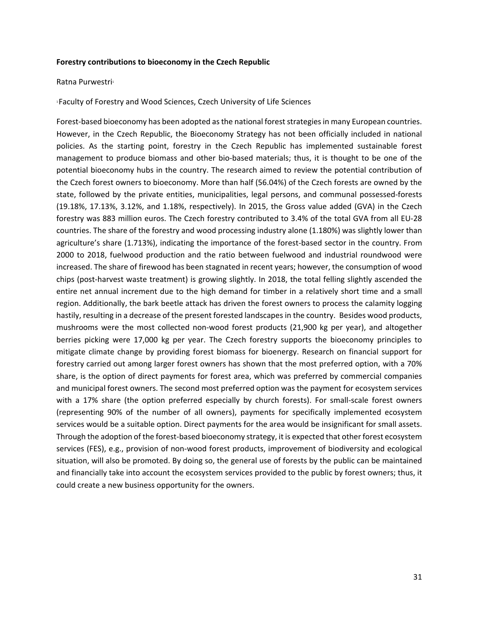#### **Forestry contributions to bioeconomy in the Czech Republic**

#### Ratna Purwestri

1 Faculty of Forestry and Wood Sciences, Czech University of Life Sciences

Forest-based bioeconomy has been adopted as the national forest strategies in many European countries. However, in the Czech Republic, the Bioeconomy Strategy has not been officially included in national policies. As the starting point, forestry in the Czech Republic has implemented sustainable forest management to produce biomass and other bio-based materials; thus, it is thought to be one of the potential bioeconomy hubs in the country. The research aimed to review the potential contribution of the Czech forest owners to bioeconomy. More than half (56.04%) of the Czech forests are owned by the state, followed by the private entities, municipalities, legal persons, and communal possessed‐forests (19.18%, 17.13%, 3.12%, and 1.18%, respectively). In 2015, the Gross value added (GVA) in the Czech forestry was 883 million euros. The Czech forestry contributed to 3.4% of the total GVA from all EU‐28 countries. The share of the forestry and wood processing industry alone (1.180%) was slightly lower than agriculture's share (1.713%), indicating the importance of the forest‐based sector in the country. From 2000 to 2018, fuelwood production and the ratio between fuelwood and industrial roundwood were increased. The share of firewood has been stagnated in recent years; however, the consumption of wood chips (post‐harvest waste treatment) is growing slightly. In 2018, the total felling slightly ascended the entire net annual increment due to the high demand for timber in a relatively short time and a small region. Additionally, the bark beetle attack has driven the forest owners to process the calamity logging hastily, resulting in a decrease of the present forested landscapes in the country. Besides wood products, mushrooms were the most collected non-wood forest products (21,900 kg per year), and altogether berries picking were 17,000 kg per year. The Czech forestry supports the bioeconomy principles to mitigate climate change by providing forest biomass for bioenergy. Research on financial support for forestry carried out among larger forest owners has shown that the most preferred option, with a 70% share, is the option of direct payments for forest area, which was preferred by commercial companies and municipal forest owners. The second most preferred option was the payment for ecosystem services with a 17% share (the option preferred especially by church forests). For small-scale forest owners (representing 90% of the number of all owners), payments for specifically implemented ecosystem services would be a suitable option. Direct payments for the area would be insignificant for small assets. Through the adoption of the forest‐based bioeconomy strategy, it is expected that other forest ecosystem services (FES), e.g., provision of non‐wood forest products, improvement of biodiversity and ecological situation, will also be promoted. By doing so, the general use of forests by the public can be maintained and financially take into account the ecosystem services provided to the public by forest owners; thus, it could create a new business opportunity for the owners.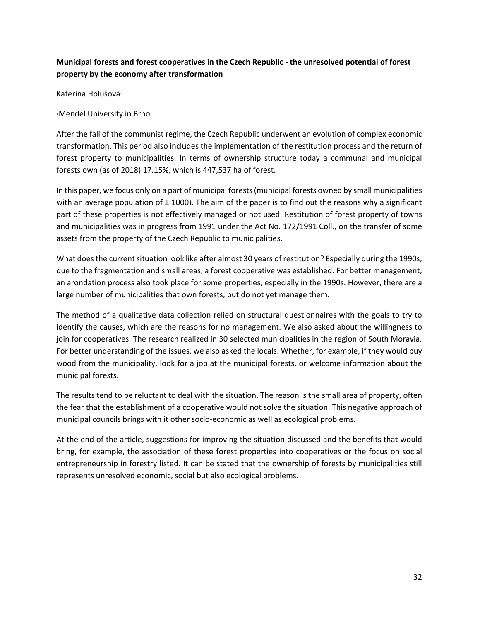# **Municipal forests and forest cooperatives in the Czech Republic ‐ the unresolved potential of forest property by the economy after transformation**

Katerina Holušová<sup>1</sup>

1 Mendel University in Brno

After the fall of the communist regime, the Czech Republic underwent an evolution of complex economic transformation. This period also includes the implementation of the restitution process and the return of forest property to municipalities. In terms of ownership structure today a communal and municipal forests own (as of 2018) 17.15%, which is 447,537 ha of forest.

In this paper, we focus only on a part of municipal forests (municipal forests owned by small municipalities with an average population of  $\pm$  1000). The aim of the paper is to find out the reasons why a significant part of these properties is not effectively managed or not used. Restitution of forest property of towns and municipalities was in progress from 1991 under the Act No. 172/1991 Coll., on the transfer of some assets from the property of the Czech Republic to municipalities.

What does the current situation look like after almost 30 years of restitution? Especially during the 1990s, due to the fragmentation and small areas, a forest cooperative was established. For better management, an arondation process also took place for some properties, especially in the 1990s. However, there are a large number of municipalities that own forests, but do not yet manage them.

The method of a qualitative data collection relied on structural questionnaires with the goals to try to identify the causes, which are the reasons for no management. We also asked about the willingness to join for cooperatives. The research realized in 30 selected municipalities in the region of South Moravia. For better understanding of the issues, we also asked the locals. Whether, for example, if they would buy wood from the municipality, look for a job at the municipal forests, or welcome information about the municipal forests.

The results tend to be reluctant to deal with the situation. The reason is the small area of property, often the fear that the establishment of a cooperative would not solve the situation. This negative approach of municipal councils brings with it other socio‐economic as well as ecological problems.

At the end of the article, suggestions for improving the situation discussed and the benefits that would bring, for example, the association of these forest properties into cooperatives or the focus on social entrepreneurship in forestry listed. It can be stated that the ownership of forests by municipalities still represents unresolved economic, social but also ecological problems.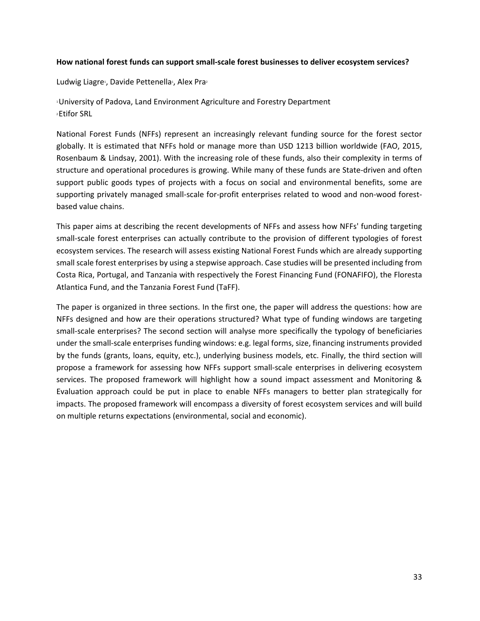#### **How national forest funds can support small‐scale forest businesses to deliver ecosystem services?**

Ludwig Liagre<sup>1</sup>, Davide Pettenella<sup>1</sup>, Alex Pra<sup>2</sup>

1 University of Padova, Land Environment Agriculture and Forestry Department 2 Etifor SRL

National Forest Funds (NFFs) represent an increasingly relevant funding source for the forest sector globally. It is estimated that NFFs hold or manage more than USD 1213 billion worldwide (FAO, 2015, Rosenbaum & Lindsay, 2001). With the increasing role of these funds, also their complexity in terms of structure and operational procedures is growing. While many of these funds are State-driven and often support public goods types of projects with a focus on social and environmental benefits, some are supporting privately managed small-scale for-profit enterprises related to wood and non-wood forestbased value chains.

This paper aims at describing the recent developments of NFFs and assess how NFFs' funding targeting small-scale forest enterprises can actually contribute to the provision of different typologies of forest ecosystem services. The research will assess existing National Forest Funds which are already supporting small scale forest enterprises by using a stepwise approach. Case studies will be presented including from Costa Rica, Portugal, and Tanzania with respectively the Forest Financing Fund (FONAFIFO), the Floresta Atlantica Fund, and the Tanzania Forest Fund (TaFF).

The paper is organized in three sections. In the first one, the paper will address the questions: how are NFFs designed and how are their operations structured? What type of funding windows are targeting small-scale enterprises? The second section will analyse more specifically the typology of beneficiaries under the small‐scale enterprises funding windows: e.g. legal forms, size, financing instruments provided by the funds (grants, loans, equity, etc.), underlying business models, etc. Finally, the third section will propose a framework for assessing how NFFs support small‐scale enterprises in delivering ecosystem services. The proposed framework will highlight how a sound impact assessment and Monitoring & Evaluation approach could be put in place to enable NFFs managers to better plan strategically for impacts. The proposed framework will encompass a diversity of forest ecosystem services and will build on multiple returns expectations (environmental, social and economic).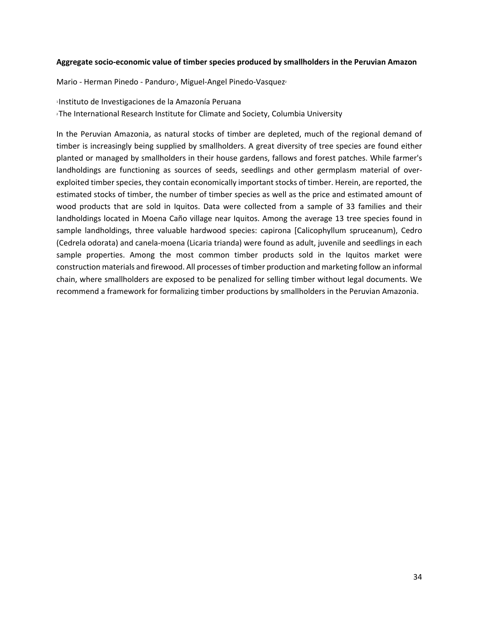#### **Aggregate socio‐economic value of timber species produced by smallholders in the Peruvian Amazon**

Mario - Herman Pinedo - Panduro<sup>1</sup>, Miguel-Angel Pinedo-Vasquez<sup>2</sup>

1 Instituto de Investigaciones de la Amazonía Peruana

2 The International Research Institute for Climate and Society, Columbia University

In the Peruvian Amazonia, as natural stocks of timber are depleted, much of the regional demand of timber is increasingly being supplied by smallholders. A great diversity of tree species are found either planted or managed by smallholders in their house gardens, fallows and forest patches. While farmer's landholdings are functioning as sources of seeds, seedlings and other germplasm material of overexploited timber species, they contain economically important stocks of timber. Herein, are reported, the estimated stocks of timber, the number of timber species as well as the price and estimated amount of wood products that are sold in Iquitos. Data were collected from a sample of 33 families and their landholdings located in Moena Caño village near Iquitos. Among the average 13 tree species found in sample landholdings, three valuable hardwood species: capirona [Calicophyllum spruceanum), Cedro (Cedrela odorata) and canela‐moena (Licaria trianda) were found as adult, juvenile and seedlings in each sample properties. Among the most common timber products sold in the Iquitos market were construction materials and firewood. All processes of timber production and marketing follow an informal chain, where smallholders are exposed to be penalized for selling timber without legal documents. We recommend a framework for formalizing timber productions by smallholders in the Peruvian Amazonia.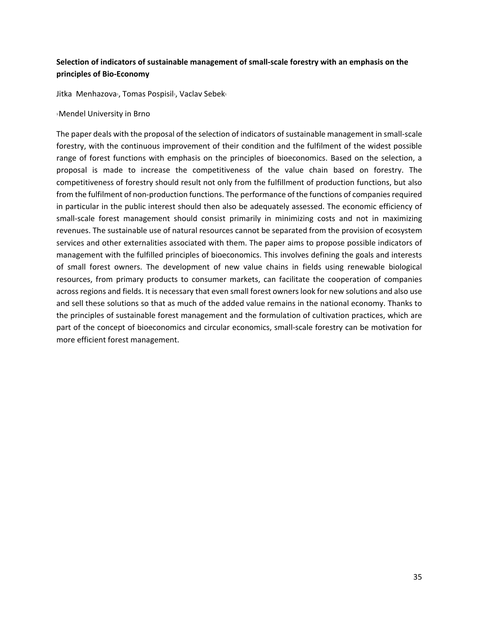# **Selection of indicators of sustainable management of small‐scale forestry with an emphasis on the principles of Bio‐Economy**

Jitka Menhazova<sup>1</sup>, Tomas Pospisil<sup>1</sup>, Vaclav Sebek<sup>1</sup>

#### 1 Mendel University in Brno

The paper deals with the proposal of the selection of indicators of sustainable management in small‐scale forestry, with the continuous improvement of their condition and the fulfilment of the widest possible range of forest functions with emphasis on the principles of bioeconomics. Based on the selection, a proposal is made to increase the competitiveness of the value chain based on forestry. The competitiveness of forestry should result not only from the fulfillment of production functions, but also from the fulfilment of non-production functions. The performance of the functions of companies required in particular in the public interest should then also be adequately assessed. The economic efficiency of small-scale forest management should consist primarily in minimizing costs and not in maximizing revenues. The sustainable use of natural resources cannot be separated from the provision of ecosystem services and other externalities associated with them. The paper aims to propose possible indicators of management with the fulfilled principles of bioeconomics. This involves defining the goals and interests of small forest owners. The development of new value chains in fields using renewable biological resources, from primary products to consumer markets, can facilitate the cooperation of companies across regions and fields. It is necessary that even small forest owners look for new solutions and also use and sell these solutions so that as much of the added value remains in the national economy. Thanks to the principles of sustainable forest management and the formulation of cultivation practices, which are part of the concept of bioeconomics and circular economics, small-scale forestry can be motivation for more efficient forest management.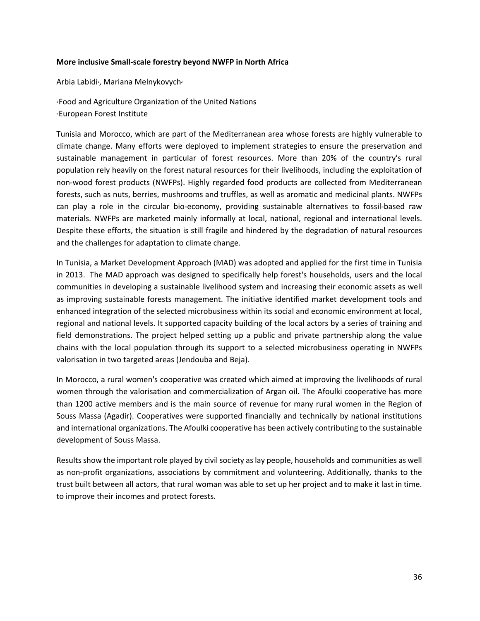#### **More inclusive Small‐scale forestry beyond NWFP in North Africa**

Arbia Labidi<sup>1</sup>, Mariana Melnykovych<sup>2</sup>

1 Food and Agriculture Organization of the United Nations 2 European Forest Institute

Tunisia and Morocco, which are part of the Mediterranean area whose forests are highly vulnerable to climate change. Many efforts were deployed to implement strategies to ensure the preservation and sustainable management in particular of forest resources. More than 20% of the country's rural population rely heavily on the forest natural resources for their livelihoods, including the exploitation of non‐wood forest products (NWFPs). Highly regarded food products are collected from Mediterranean forests, such as nuts, berries, mushrooms and truffles, as well as aromatic and medicinal plants. NWFPs can play a role in the circular bio‐economy, providing sustainable alternatives to fossil‐based raw materials. NWFPs are marketed mainly informally at local, national, regional and international levels. Despite these efforts, the situation is still fragile and hindered by the degradation of natural resources and the challenges for adaptation to climate change.

In Tunisia, a Market Development Approach (MAD) was adopted and applied for the first time in Tunisia in 2013. The MAD approach was designed to specifically help forest's households, users and the local communities in developing a sustainable livelihood system and increasing their economic assets as well as improving sustainable forests management. The initiative identified market development tools and enhanced integration of the selected microbusiness within its social and economic environment at local, regional and national levels. It supported capacity building of the local actors by a series of training and field demonstrations. The project helped setting up a public and private partnership along the value chains with the local population through its support to a selected microbusiness operating in NWFPs valorisation in two targeted areas (Jendouba and Beja).

In Morocco, a rural women's cooperative was created which aimed at improving the livelihoods of rural women through the valorisation and commercialization of Argan oil. The Afoulki cooperative has more than 1200 active members and is the main source of revenue for many rural women in the Region of Souss Massa (Agadir). Cooperatives were supported financially and technically by national institutions and international organizations. The Afoulki cooperative has been actively contributing to the sustainable development of Souss Massa.

Results show the important role played by civil society as lay people, households and communities as well as non‐profit organizations, associations by commitment and volunteering. Additionally, thanks to the trust built between all actors, that rural woman was able to set up her project and to make it last in time. to improve their incomes and protect forests.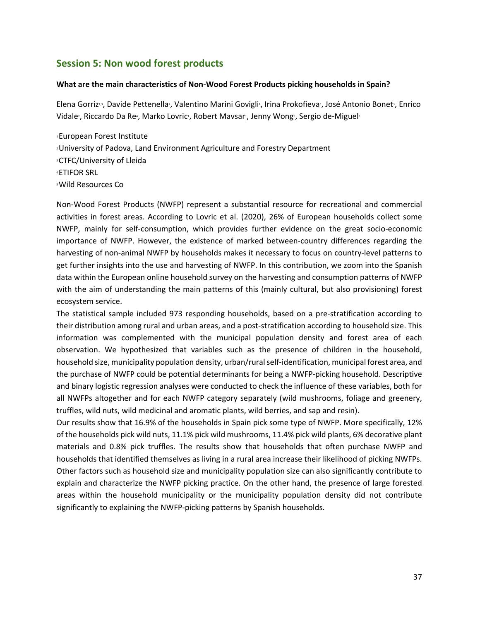# **Session 5: Non wood forest products**

#### **What are the main characteristics of Non‐Wood Forest Products picking households in Spain?**

Elena Gorriz<sup>13</sup>, Davide Pettenella<sup>2</sup>, Valentino Marini Govigli<sup>1</sup>, Irina Prokofieva<sup>3</sup>, José Antonio Bonet<sup>3</sup>, Enrico Vidale<sup>2</sup>, Riccardo Da Re<sup>4</sup>, Marko Lovric<sup>1</sup>, Robert Mavsar<sup>1</sup>, Jenny Wong5, Sergio de-Miguel<sup>3</sup>

1 European Forest Institute 2 University of Padova, Land Environment Agriculture and Forestry Department 3 CTFC/University of Lleida 4 ETIFOR SRL 5 Wild Resources Co

Non‐Wood Forest Products (NWFP) represent a substantial resource for recreational and commercial activities in forest areas. According to Lovric et al. (2020), 26% of European households collect some NWFP, mainly for self-consumption, which provides further evidence on the great socio-economic importance of NWFP. However, the existence of marked between‐country differences regarding the harvesting of non-animal NWFP by households makes it necessary to focus on country-level patterns to get further insights into the use and harvesting of NWFP. In this contribution, we zoom into the Spanish data within the European online household survey on the harvesting and consumption patterns of NWFP with the aim of understanding the main patterns of this (mainly cultural, but also provisioning) forest ecosystem service.

The statistical sample included 973 responding households, based on a pre-stratification according to their distribution among rural and urban areas, and a post‐stratification according to household size. This information was complemented with the municipal population density and forest area of each observation. We hypothesized that variables such as the presence of children in the household, household size, municipality population density, urban/rural self-identification, municipal forest area, and the purchase of NWFP could be potential determinants for being a NWFP‐picking household. Descriptive and binary logistic regression analyses were conducted to check the influence of these variables, both for all NWFPs altogether and for each NWFP category separately (wild mushrooms, foliage and greenery, truffles, wild nuts, wild medicinal and aromatic plants, wild berries, and sap and resin).

Our results show that 16.9% of the households in Spain pick some type of NWFP. More specifically, 12% of the households pick wild nuts, 11.1% pick wild mushrooms, 11.4% pick wild plants, 6% decorative plant materials and 0.8% pick truffles. The results show that households that often purchase NWFP and households that identified themselves as living in a rural area increase their likelihood of picking NWFPs. Other factors such as household size and municipality population size can also significantly contribute to explain and characterize the NWFP picking practice. On the other hand, the presence of large forested areas within the household municipality or the municipality population density did not contribute significantly to explaining the NWFP‐picking patterns by Spanish households.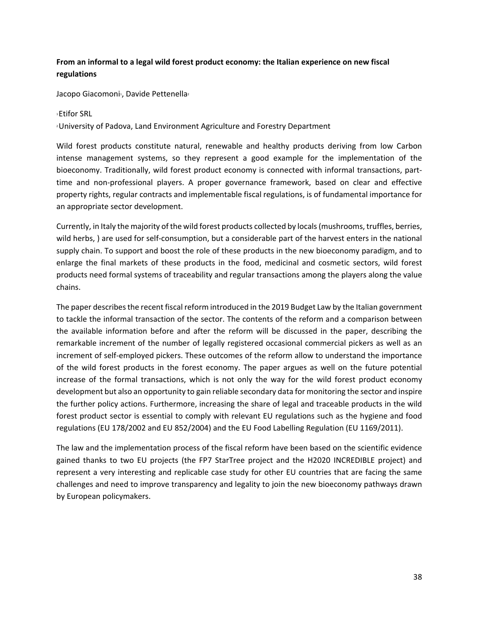# **From an informal to a legal wild forest product economy: the Italian experience on new fiscal regulations**

Jacopo Giacomoni<sup>1</sup>, Davide Pettenella<sup>2</sup>

#### 1 Etifor SRL

2 University of Padova, Land Environment Agriculture and Forestry Department

Wild forest products constitute natural, renewable and healthy products deriving from low Carbon intense management systems, so they represent a good example for the implementation of the bioeconomy. Traditionally, wild forest product economy is connected with informal transactions, part‐ time and non-professional players. A proper governance framework, based on clear and effective property rights, regular contracts and implementable fiscal regulations, is of fundamental importance for an appropriate sector development.

Currently, in Italy the majority of the wild forest products collected by locals (mushrooms, truffles, berries, wild herbs, ) are used for self‐consumption, but a considerable part of the harvest enters in the national supply chain. To support and boost the role of these products in the new bioeconomy paradigm, and to enlarge the final markets of these products in the food, medicinal and cosmetic sectors, wild forest products need formal systems of traceability and regular transactions among the players along the value chains.

The paper describes the recent fiscal reform introduced in the 2019 Budget Law by the Italian government to tackle the informal transaction of the sector. The contents of the reform and a comparison between the available information before and after the reform will be discussed in the paper, describing the remarkable increment of the number of legally registered occasional commercial pickers as well as an increment of self‐employed pickers. These outcomes of the reform allow to understand the importance of the wild forest products in the forest economy. The paper argues as well on the future potential increase of the formal transactions, which is not only the way for the wild forest product economy development but also an opportunity to gain reliable secondary data for monitoring the sector and inspire the further policy actions. Furthermore, increasing the share of legal and traceable products in the wild forest product sector is essential to comply with relevant EU regulations such as the hygiene and food regulations (EU 178/2002 and EU 852/2004) and the EU Food Labelling Regulation (EU 1169/2011).

The law and the implementation process of the fiscal reform have been based on the scientific evidence gained thanks to two EU projects (the FP7 StarTree project and the H2020 INCREDIBLE project) and represent a very interesting and replicable case study for other EU countries that are facing the same challenges and need to improve transparency and legality to join the new bioeconomy pathways drawn by European policymakers.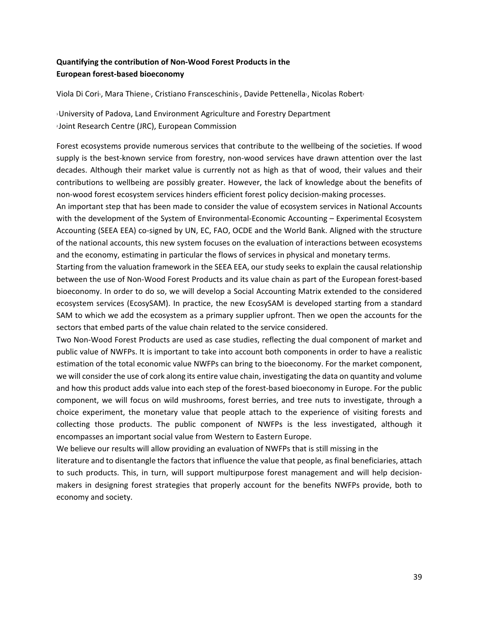# **Quantifying the contribution of Non‐Wood Forest Products in the European forest‐based bioeconomy**

Viola Di Cori<sup>,</sup>, Mara Thiene<sup>,</sup>, Cristiano Fransceschinis<sup>,</sup>, Davide Pettenella<sup>,</sup>, Nicolas Robert<sup>2</sup>

1 University of Padova, Land Environment Agriculture and Forestry Department 2 Joint Research Centre (JRC), European Commission

Forest ecosystems provide numerous services that contribute to the wellbeing of the societies. If wood supply is the best-known service from forestry, non-wood services have drawn attention over the last decades. Although their market value is currently not as high as that of wood, their values and their contributions to wellbeing are possibly greater. However, the lack of knowledge about the benefits of non‐wood forest ecosystem services hinders efficient forest policy decision‐making processes.

An important step that has been made to consider the value of ecosystem services in National Accounts with the development of the System of Environmental-Economic Accounting – Experimental Ecosystem Accounting (SEEA EEA) co‐signed by UN, EC, FAO, OCDE and the World Bank. Aligned with the structure of the national accounts, this new system focuses on the evaluation of interactions between ecosystems and the economy, estimating in particular the flows of services in physical and monetary terms.

Starting from the valuation framework in the SEEA EEA, our study seeks to explain the causal relationship between the use of Non-Wood Forest Products and its value chain as part of the European forest-based bioeconomy. In order to do so, we will develop a Social Accounting Matrix extended to the considered ecosystem services (EcosySAM). In practice, the new EcosySAM is developed starting from a standard SAM to which we add the ecosystem as a primary supplier upfront. Then we open the accounts for the sectors that embed parts of the value chain related to the service considered.

Two Non‐Wood Forest Products are used as case studies, reflecting the dual component of market and public value of NWFPs. It is important to take into account both components in order to have a realistic estimation of the total economic value NWFPs can bring to the bioeconomy. For the market component, we will consider the use of cork along its entire value chain, investigating the data on quantity and volume and how this product adds value into each step of the forest-based bioeconomy in Europe. For the public component, we will focus on wild mushrooms, forest berries, and tree nuts to investigate, through a choice experiment, the monetary value that people attach to the experience of visiting forests and collecting those products. The public component of NWFPs is the less investigated, although it encompasses an important social value from Western to Eastern Europe.

We believe our results will allow providing an evaluation of NWFPs that is still missing in the

literature and to disentangle the factors that influence the value that people, as final beneficiaries, attach to such products. This, in turn, will support multipurpose forest management and will help decisionmakers in designing forest strategies that properly account for the benefits NWFPs provide, both to economy and society.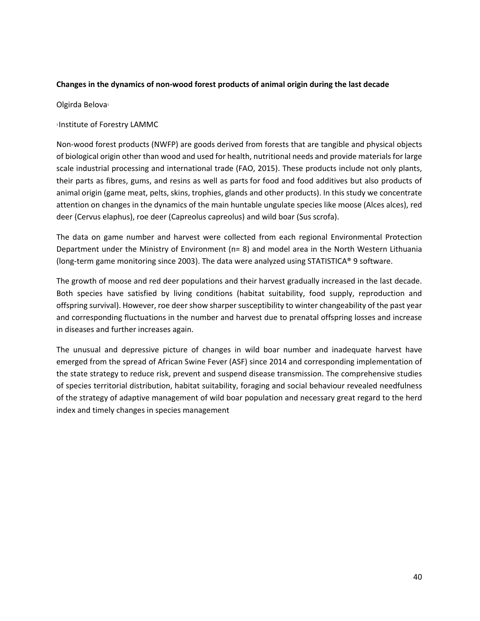#### **Changes in the dynamics of non‐wood forest products of animal origin during the last decade**

Olgirda Belova<sup>1</sup>

1 Institute of Forestry LAMMC

Non‐wood forest products (NWFP) are goods derived from forests that are tangible and physical objects of biological origin other than wood and used for health, nutritional needs and provide materials for large scale industrial processing and international trade (FAO, 2015). These products include not only plants, their parts as fibres, gums, and resins as well as parts for food and food additives but also products of animal origin (game meat, pelts, skins, trophies, glands and other products). In this study we concentrate attention on changes in the dynamics of the main huntable ungulate species like moose (Alces alces), red deer (Cervus elaphus), roe deer (Capreolus capreolus) and wild boar (Sus scrofa).

The data on game number and harvest were collected from each regional Environmental Protection Department under the Ministry of Environment (n= 8) and model area in the North Western Lithuania (long‐term game monitoring since 2003). The data were analyzed using STATISTICA® 9 software.

The growth of moose and red deer populations and their harvest gradually increased in the last decade. Both species have satisfied by living conditions (habitat suitability, food supply, reproduction and offspring survival). However, roe deer show sharper susceptibility to winter changeability of the past year and corresponding fluctuations in the number and harvest due to prenatal offspring losses and increase in diseases and further increases again.

The unusual and depressive picture of changes in wild boar number and inadequate harvest have emerged from the spread of African Swine Fever (ASF) since 2014 and corresponding implementation of the state strategy to reduce risk, prevent and suspend disease transmission. The comprehensive studies of species territorial distribution, habitat suitability, foraging and social behaviour revealed needfulness of the strategy of adaptive management of wild boar population and necessary great regard to the herd index and timely changes in species management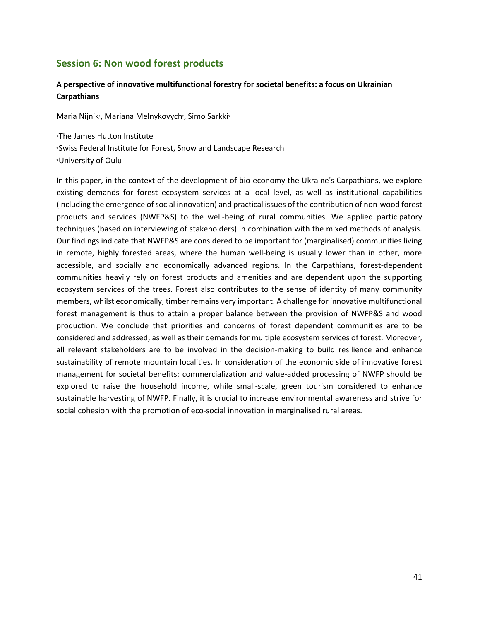# **Session 6: Non wood forest products**

## **A perspective of innovative multifunctional forestry for societal benefits: a focus on Ukrainian Carpathians**

Maria Nijnik<sub>1</sub>, Mariana Melnykovych2, Simo Sarkki3

1 The James Hutton Institute 2 Swiss Federal Institute for Forest, Snow and Landscape Research 3 University of Oulu

In this paper, in the context of the development of bio‐economy the Ukraine's Carpathians, we explore existing demands for forest ecosystem services at a local level, as well as institutional capabilities (including the emergence of social innovation) and practical issues of the contribution of non‐wood forest products and services (NWFP&S) to the well-being of rural communities. We applied participatory techniques (based on interviewing of stakeholders) in combination with the mixed methods of analysis. Our findings indicate that NWFP&S are considered to be important for (marginalised) communities living in remote, highly forested areas, where the human well-being is usually lower than in other, more accessible, and socially and economically advanced regions. In the Carpathians, forest-dependent communities heavily rely on forest products and amenities and are dependent upon the supporting ecosystem services of the trees. Forest also contributes to the sense of identity of many community members, whilst economically, timber remains very important. A challenge for innovative multifunctional forest management is thus to attain a proper balance between the provision of NWFP&S and wood production. We conclude that priorities and concerns of forest dependent communities are to be considered and addressed, as well as their demands for multiple ecosystem services of forest. Moreover, all relevant stakeholders are to be involved in the decision-making to build resilience and enhance sustainability of remote mountain localities. In consideration of the economic side of innovative forest management for societal benefits: commercialization and value-added processing of NWFP should be explored to raise the household income, while small-scale, green tourism considered to enhance sustainable harvesting of NWFP. Finally, it is crucial to increase environmental awareness and strive for social cohesion with the promotion of eco-social innovation in marginalised rural areas.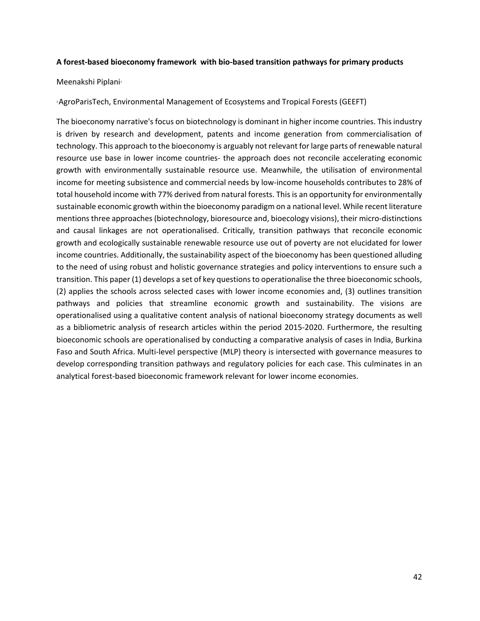#### **A forest‐based bioeconomy framework with bio‐based transition pathways for primary products**

#### Meenakshi Piplani<sup>1</sup>

#### 1 AgroParisTech, Environmental Management of Ecosystems and Tropical Forests (GEEFT)

The bioeconomy narrative's focus on biotechnology is dominant in higher income countries. This industry is driven by research and development, patents and income generation from commercialisation of technology. This approach to the bioeconomy is arguably not relevant for large parts of renewable natural resource use base in lower income countries- the approach does not reconcile accelerating economic growth with environmentally sustainable resource use. Meanwhile, the utilisation of environmental income for meeting subsistence and commercial needs by low-income households contributes to 28% of total household income with 77% derived from natural forests. This is an opportunity for environmentally sustainable economic growth within the bioeconomy paradigm on a national level. While recent literature mentions three approaches (biotechnology, bioresource and, bioecology visions), their micro‐distinctions and causal linkages are not operationalised. Critically, transition pathways that reconcile economic growth and ecologically sustainable renewable resource use out of poverty are not elucidated for lower income countries. Additionally, the sustainability aspect of the bioeconomy has been questioned alluding to the need of using robust and holistic governance strategies and policy interventions to ensure such a transition. This paper (1) develops a set of key questions to operationalise the three bioeconomic schools, (2) applies the schools across selected cases with lower income economies and, (3) outlines transition pathways and policies that streamline economic growth and sustainability. The visions are operationalised using a qualitative content analysis of national bioeconomy strategy documents as well as a bibliometric analysis of research articles within the period 2015‐2020. Furthermore, the resulting bioeconomic schools are operationalised by conducting a comparative analysis of cases in India, Burkina Faso and South Africa. Multi‐level perspective (MLP) theory is intersected with governance measures to develop corresponding transition pathways and regulatory policies for each case. This culminates in an analytical forest‐based bioeconomic framework relevant for lower income economies.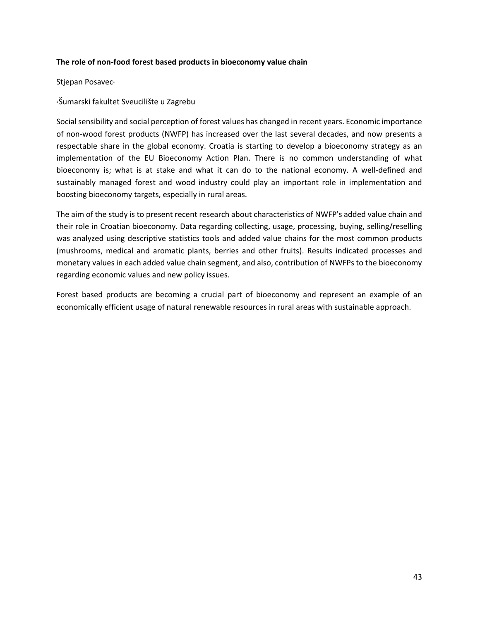#### **The role of non‐food forest based products in bioeconomy value chain**

Stjepan Posavec<sup>1</sup>

1 Šumarski fakultet Sveucilište u Zagrebu

Social sensibility and social perception of forest values has changed in recent years. Economic importance of non‐wood forest products (NWFP) has increased over the last several decades, and now presents a respectable share in the global economy. Croatia is starting to develop a bioeconomy strategy as an implementation of the EU Bioeconomy Action Plan. There is no common understanding of what bioeconomy is; what is at stake and what it can do to the national economy. A well-defined and sustainably managed forest and wood industry could play an important role in implementation and boosting bioeconomy targets, especially in rural areas.

The aim of the study is to present recent research about characteristics of NWFP's added value chain and their role in Croatian bioeconomy. Data regarding collecting, usage, processing, buying, selling/reselling was analyzed using descriptive statistics tools and added value chains for the most common products (mushrooms, medical and aromatic plants, berries and other fruits). Results indicated processes and monetary values in each added value chain segment, and also, contribution of NWFPs to the bioeconomy regarding economic values and new policy issues.

Forest based products are becoming a crucial part of bioeconomy and represent an example of an economically efficient usage of natural renewable resources in rural areas with sustainable approach.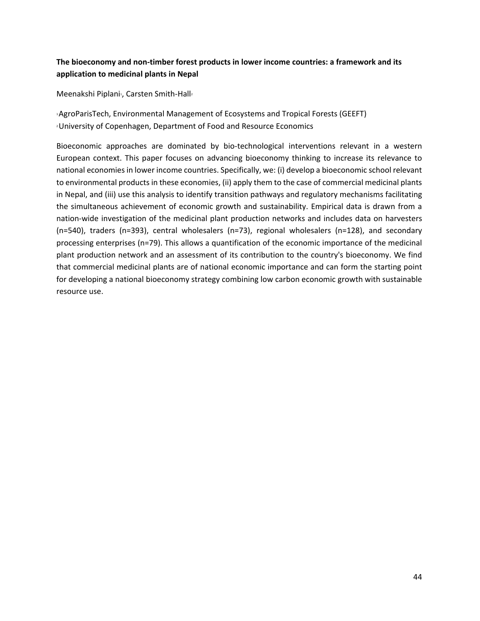# **The bioeconomy and non‐timber forest products in lower income countries: a framework and its application to medicinal plants in Nepal**

Meenakshi Piplani<sup>1</sup>, Carsten Smith-Hall<sup>2</sup>

1 AgroParisTech, Environmental Management of Ecosystems and Tropical Forests (GEEFT) 2 University of Copenhagen, Department of Food and Resource Economics

Bioeconomic approaches are dominated by bio‐technological interventions relevant in a western European context. This paper focuses on advancing bioeconomy thinking to increase its relevance to national economies in lower income countries. Specifically, we: (i) develop a bioeconomic school relevant to environmental products in these economies, (ii) apply them to the case of commercial medicinal plants in Nepal, and (iii) use this analysis to identify transition pathways and regulatory mechanisms facilitating the simultaneous achievement of economic growth and sustainability. Empirical data is drawn from a nation‐wide investigation of the medicinal plant production networks and includes data on harvesters (n=540), traders  $(n=393)$ , central wholesalers  $(n=73)$ , regional wholesalers  $(n=128)$ , and secondary processing enterprises (n=79). This allows a quantification of the economic importance of the medicinal plant production network and an assessment of its contribution to the country's bioeconomy. We find that commercial medicinal plants are of national economic importance and can form the starting point for developing a national bioeconomy strategy combining low carbon economic growth with sustainable resource use.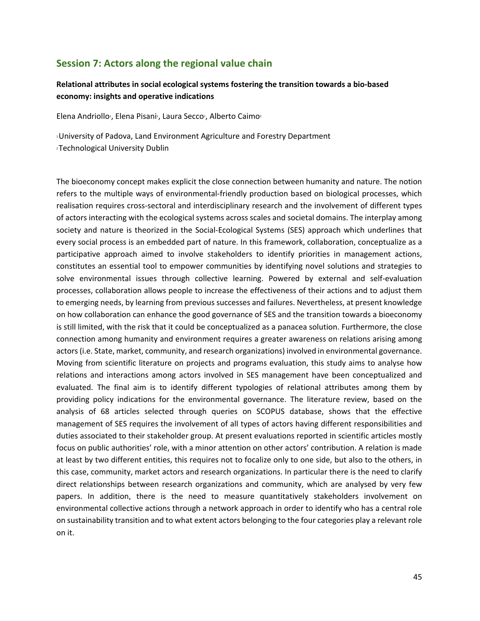# **Session 7: Actors along the regional value chain**

### **Relational attributes in social ecological systems fostering the transition towards a bio‐based economy: insights and operative indications**

Elena Andriollo<sup>1</sup>, Elena Pisani<sup>1</sup>, Laura Secco<sup>1</sup>, Alberto Caimo<sup>2</sup>

1 University of Padova, Land Environment Agriculture and Forestry Department 2 Technological University Dublin

The bioeconomy concept makes explicit the close connection between humanity and nature. The notion refers to the multiple ways of environmental‐friendly production based on biological processes, which realisation requires cross‐sectoral and interdisciplinary research and the involvement of different types of actors interacting with the ecological systems across scales and societal domains. The interplay among society and nature is theorized in the Social-Ecological Systems (SES) approach which underlines that every social process is an embedded part of nature. In this framework, collaboration, conceptualize as a participative approach aimed to involve stakeholders to identify priorities in management actions, constitutes an essential tool to empower communities by identifying novel solutions and strategies to solve environmental issues through collective learning. Powered by external and self-evaluation processes, collaboration allows people to increase the effectiveness of their actions and to adjust them to emerging needs, by learning from previous successes and failures. Nevertheless, at present knowledge on how collaboration can enhance the good governance of SES and the transition towards a bioeconomy is still limited, with the risk that it could be conceptualized as a panacea solution. Furthermore, the close connection among humanity and environment requires a greater awareness on relations arising among actors (i.e. State, market, community, and research organizations) involved in environmental governance. Moving from scientific literature on projects and programs evaluation, this study aims to analyse how relations and interactions among actors involved in SES management have been conceptualized and evaluated. The final aim is to identify different typologies of relational attributes among them by providing policy indications for the environmental governance. The literature review, based on the analysis of 68 articles selected through queries on SCOPUS database, shows that the effective management of SES requires the involvement of all types of actors having different responsibilities and duties associated to their stakeholder group. At present evaluations reported in scientific articles mostly focus on public authorities' role, with a minor attention on other actors' contribution. A relation is made at least by two different entities, this requires not to focalize only to one side, but also to the others, in this case, community, market actors and research organizations. In particular there is the need to clarify direct relationships between research organizations and community, which are analysed by very few papers. In addition, there is the need to measure quantitatively stakeholders involvement on environmental collective actions through a network approach in order to identify who has a central role on sustainability transition and to what extent actors belonging to the four categories play a relevant role on it.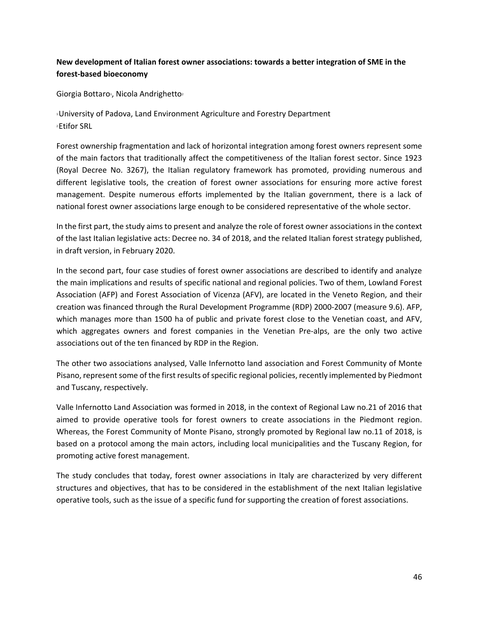# **New development of Italian forest owner associations: towards a better integration of SME in the forest‐based bioeconomy**

Giorgia Bottaro<sup>1</sup>, Nicola Andrighetto<sup>2</sup>

1 University of Padova, Land Environment Agriculture and Forestry Department 2 Etifor SRL

Forest ownership fragmentation and lack of horizontal integration among forest owners represent some of the main factors that traditionally affect the competitiveness of the Italian forest sector. Since 1923 (Royal Decree No. 3267), the Italian regulatory framework has promoted, providing numerous and different legislative tools, the creation of forest owner associations for ensuring more active forest management. Despite numerous efforts implemented by the Italian government, there is a lack of national forest owner associations large enough to be considered representative of the whole sector.

In the first part, the study aims to present and analyze the role of forest owner associations in the context of the last Italian legislative acts: Decree no. 34 of 2018, and the related Italian forest strategy published, in draft version, in February 2020.

In the second part, four case studies of forest owner associations are described to identify and analyze the main implications and results of specific national and regional policies. Two of them, Lowland Forest Association (AFP) and Forest Association of Vicenza (AFV), are located in the Veneto Region, and their creation was financed through the Rural Development Programme (RDP) 2000‐2007 (measure 9.6). AFP, which manages more than 1500 ha of public and private forest close to the Venetian coast, and AFV, which aggregates owners and forest companies in the Venetian Pre-alps, are the only two active associations out of the ten financed by RDP in the Region.

The other two associations analysed, Valle Infernotto land association and Forest Community of Monte Pisano, represent some of the first results of specific regional policies, recently implemented by Piedmont and Tuscany, respectively.

Valle Infernotto Land Association was formed in 2018, in the context of Regional Law no.21 of 2016 that aimed to provide operative tools for forest owners to create associations in the Piedmont region. Whereas, the Forest Community of Monte Pisano, strongly promoted by Regional law no.11 of 2018, is based on a protocol among the main actors, including local municipalities and the Tuscany Region, for promoting active forest management.

The study concludes that today, forest owner associations in Italy are characterized by very different structures and objectives, that has to be considered in the establishment of the next Italian legislative operative tools, such as the issue of a specific fund for supporting the creation of forest associations.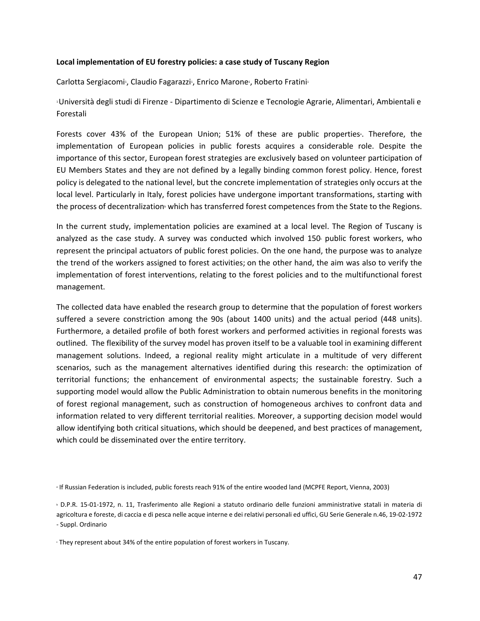#### **Local implementation of EU forestry policies: a case study of Tuscany Region**

Carlotta Sergiacomi<sup>1</sup>, Claudio Fagarazzi<sup>1</sup>, Enrico Marone<sup>1</sup>, Roberto Fratini<sup>1</sup>

1 Università degli studi di Firenze ‐ Dipartimento di Scienze e Tecnologie Agrarie, Alimentari, Ambientali e Forestali

Forests cover 43% of the European Union; 51% of these are public properties<sup>®</sup>. Therefore, the implementation of European policies in public forests acquires a considerable role. Despite the importance of this sector, European forest strategies are exclusively based on volunteer participation of EU Members States and they are not defined by a legally binding common forest policy. Hence, forest policy is delegated to the national level, but the concrete implementation of strategies only occurs at the local level. Particularly in Italy, forest policies have undergone important transformations, starting with the process of decentralization which has transferred forest competences from the State to the Regions.

In the current study, implementation policies are examined at a local level. The Region of Tuscany is analyzed as the case study. A survey was conducted which involved 150 public forest workers, who represent the principal actuators of public forest policies. On the one hand, the purpose was to analyze the trend of the workers assigned to forest activities; on the other hand, the aim was also to verify the implementation of forest interventions, relating to the forest policies and to the multifunctional forest management.

The collected data have enabled the research group to determine that the population of forest workers suffered a severe constriction among the 90s (about 1400 units) and the actual period (448 units). Furthermore, a detailed profile of both forest workers and performed activities in regional forests was outlined. The flexibility of the survey model has proven itself to be a valuable tool in examining different management solutions. Indeed, a regional reality might articulate in a multitude of very different scenarios, such as the management alternatives identified during this research: the optimization of territorial functions; the enhancement of environmental aspects; the sustainable forestry. Such a supporting model would allow the Public Administration to obtain numerous benefits in the monitoring of forest regional management, such as construction of homogeneous archives to confront data and information related to very different territorial realities. Moreover, a supporting decision model would allow identifying both critical situations, which should be deepened, and best practices of management, which could be disseminated over the entire territory.

 $\cdot$  They represent about 34% of the entire population of forest workers in Tuscany.

a If Russian Federation is included, public forests reach 91% of the entire wooded land (MCPFE Report, Vienna, 2003)

b D.P.R. 15‐01‐1972, n. 11, Trasferimento alle Regioni a statuto ordinario delle funzioni amministrative statali in materia di agricoltura e foreste, di caccia e di pesca nelle acque interne e dei relativi personali ed uffici, GU Serie Generale n.46, 19‐02‐1972 ‐ Suppl. Ordinario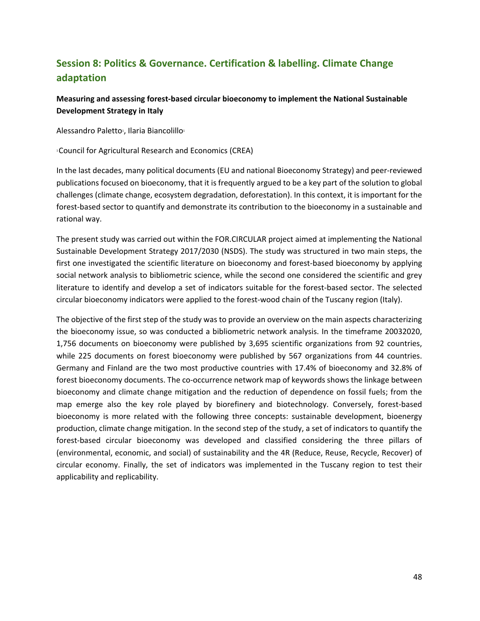# **Session 8: Politics & Governance. Certification & labelling. Climate Change adaptation**

## **Measuring and assessing forest‐based circular bioeconomy to implement the National Sustainable Development Strategy in Italy**

Alessandro Paletto<sup>1</sup>, Ilaria Biancolillo<sup>1</sup>

1 Council for Agricultural Research and Economics (CREA)

In the last decades, many political documents (EU and national Bioeconomy Strategy) and peer‐reviewed publications focused on bioeconomy, that it is frequently argued to be a key part of the solution to global challenges (climate change, ecosystem degradation, deforestation). In this context, it is important for the forest-based sector to quantify and demonstrate its contribution to the bioeconomy in a sustainable and rational way.

The present study was carried out within the FOR.CIRCULAR project aimed at implementing the National Sustainable Development Strategy 2017/2030 (NSDS). The study was structured in two main steps, the first one investigated the scientific literature on bioeconomy and forest-based bioeconomy by applying social network analysis to bibliometric science, while the second one considered the scientific and grey literature to identify and develop a set of indicators suitable for the forest-based sector. The selected circular bioeconomy indicators were applied to the forest-wood chain of the Tuscany region (Italy).

The objective of the first step of the study was to provide an overview on the main aspects characterizing the bioeconomy issue, so was conducted a bibliometric network analysis. In the timeframe 20032020, 1,756 documents on bioeconomy were published by 3,695 scientific organizations from 92 countries, while 225 documents on forest bioeconomy were published by 567 organizations from 44 countries. Germany and Finland are the two most productive countries with 17.4% of bioeconomy and 32.8% of forest bioeconomy documents. The co-occurrence network map of keywords shows the linkage between bioeconomy and climate change mitigation and the reduction of dependence on fossil fuels; from the map emerge also the key role played by biorefinery and biotechnology. Conversely, forest-based bioeconomy is more related with the following three concepts: sustainable development, bioenergy production, climate change mitigation. In the second step of the study, a set of indicators to quantify the forest-based circular bioeconomy was developed and classified considering the three pillars of (environmental, economic, and social) of sustainability and the 4R (Reduce, Reuse, Recycle, Recover) of circular economy. Finally, the set of indicators was implemented in the Tuscany region to test their applicability and replicability.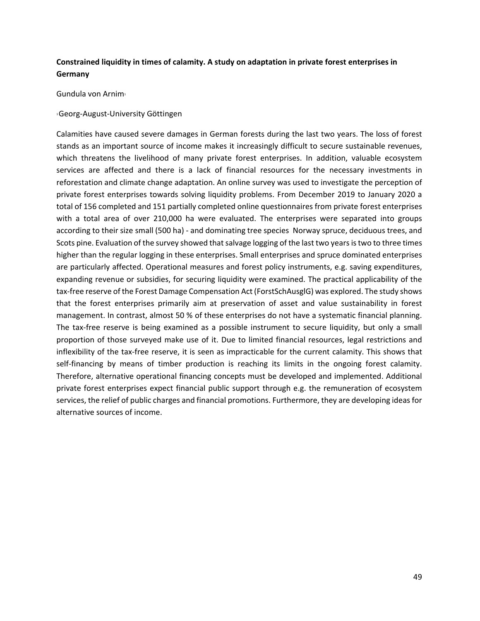# **Constrained liquidity in times of calamity. A study on adaptation in private forest enterprises in Germany**

Gundula von Arnim1

#### 1 Georg‐August‐University Göttingen

Calamities have caused severe damages in German forests during the last two years. The loss of forest stands as an important source of income makes it increasingly difficult to secure sustainable revenues, which threatens the livelihood of many private forest enterprises. In addition, valuable ecosystem services are affected and there is a lack of financial resources for the necessary investments in reforestation and climate change adaptation. An online survey was used to investigate the perception of private forest enterprises towards solving liquidity problems. From December 2019 to January 2020 a total of 156 completed and 151 partially completed online questionnaires from private forest enterprises with a total area of over 210,000 ha were evaluated. The enterprises were separated into groups according to their size small (500 ha) - and dominating tree species Norway spruce, deciduous trees, and Scots pine. Evaluation of the survey showed that salvage logging of the last two years is two to three times higher than the regular logging in these enterprises. Small enterprises and spruce dominated enterprises are particularly affected. Operational measures and forest policy instruments, e.g. saving expenditures, expanding revenue or subsidies, for securing liquidity were examined. The practical applicability of the tax‐free reserve of the Forest Damage Compensation Act (ForstSchAusglG) was explored. The study shows that the forest enterprises primarily aim at preservation of asset and value sustainability in forest management. In contrast, almost 50 % of these enterprises do not have a systematic financial planning. The tax-free reserve is being examined as a possible instrument to secure liquidity, but only a small proportion of those surveyed make use of it. Due to limited financial resources, legal restrictions and inflexibility of the tax‐free reserve, it is seen as impracticable for the current calamity. This shows that self-financing by means of timber production is reaching its limits in the ongoing forest calamity. Therefore, alternative operational financing concepts must be developed and implemented. Additional private forest enterprises expect financial public support through e.g. the remuneration of ecosystem services, the relief of public charges and financial promotions. Furthermore, they are developing ideas for alternative sources of income.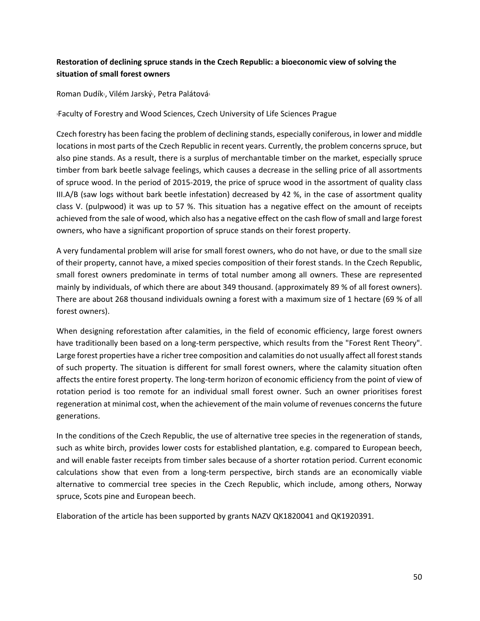# **Restoration of declining spruce stands in the Czech Republic: a bioeconomic view of solving the situation of small forest owners**

Roman Dudík1, Vilém Jarský1, Petra Palátová1

1Faculty of Forestry and Wood Sciences, Czech University of Life Sciences Prague

Czech forestry has been facing the problem of declining stands, especially coniferous, in lower and middle locations in most parts of the Czech Republic in recent years. Currently, the problem concerns spruce, but also pine stands. As a result, there is a surplus of merchantable timber on the market, especially spruce timber from bark beetle salvage feelings, which causes a decrease in the selling price of all assortments of spruce wood. In the period of 2015‐2019, the price of spruce wood in the assortment of quality class III.A/B (saw logs without bark beetle infestation) decreased by 42 %, in the case of assortment quality class V. (pulpwood) it was up to 57 %. This situation has a negative effect on the amount of receipts achieved from the sale of wood, which also has a negative effect on the cash flow of small and large forest owners, who have a significant proportion of spruce stands on their forest property.

A very fundamental problem will arise for small forest owners, who do not have, or due to the small size of their property, cannot have, a mixed species composition of their forest stands. In the Czech Republic, small forest owners predominate in terms of total number among all owners. These are represented mainly by individuals, of which there are about 349 thousand. (approximately 89 % of all forest owners). There are about 268 thousand individuals owning a forest with a maximum size of 1 hectare (69 % of all forest owners).

When designing reforestation after calamities, in the field of economic efficiency, large forest owners have traditionally been based on a long-term perspective, which results from the "Forest Rent Theory". Large forest properties have a richer tree composition and calamities do not usually affect all forest stands of such property. The situation is different for small forest owners, where the calamity situation often affects the entire forest property. The long-term horizon of economic efficiency from the point of view of rotation period is too remote for an individual small forest owner. Such an owner prioritises forest regeneration at minimal cost, when the achievement of the main volume of revenues concerns the future generations.

In the conditions of the Czech Republic, the use of alternative tree species in the regeneration of stands, such as white birch, provides lower costs for established plantation, e.g. compared to European beech, and will enable faster receipts from timber sales because of a shorter rotation period. Current economic calculations show that even from a long-term perspective, birch stands are an economically viable alternative to commercial tree species in the Czech Republic, which include, among others, Norway spruce, Scots pine and European beech.

Elaboration of the article has been supported by grants NAZV QK1820041 and QK1920391.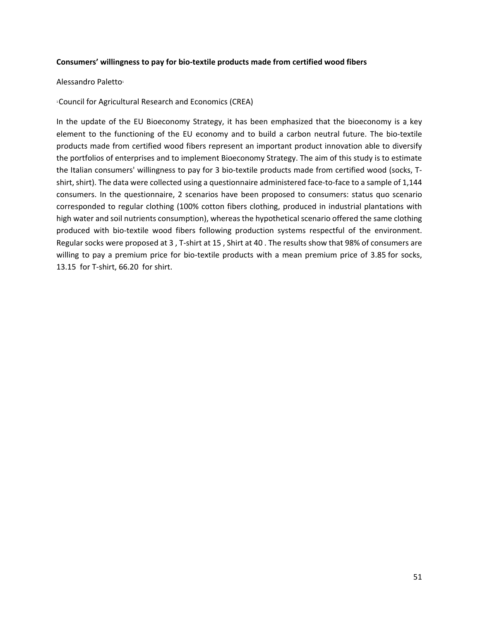#### **Consumers' willingness to pay for bio‐textile products made from certified wood fibers**

#### Alessandro Paletto1

1 Council for Agricultural Research and Economics (CREA)

In the update of the EU Bioeconomy Strategy, it has been emphasized that the bioeconomy is a key element to the functioning of the EU economy and to build a carbon neutral future. The bio-textile products made from certified wood fibers represent an important product innovation able to diversify the portfolios of enterprises and to implement Bioeconomy Strategy. The aim of this study is to estimate the Italian consumers' willingness to pay for 3 bio‐textile products made from certified wood (socks, T‐ shirt, shirt). The data were collected using a questionnaire administered face-to-face to a sample of 1,144 consumers. In the questionnaire, 2 scenarios have been proposed to consumers: status quo scenario corresponded to regular clothing (100% cotton fibers clothing, produced in industrial plantations with high water and soil nutrients consumption), whereas the hypothetical scenario offered the same clothing produced with bio-textile wood fibers following production systems respectful of the environment. Regular socks were proposed at 3 , T‐shirt at 15 , Shirt at 40 . The results show that 98% of consumers are willing to pay a premium price for bio-textile products with a mean premium price of 3.85 for socks, 13.15 for T‐shirt, 66.20 for shirt.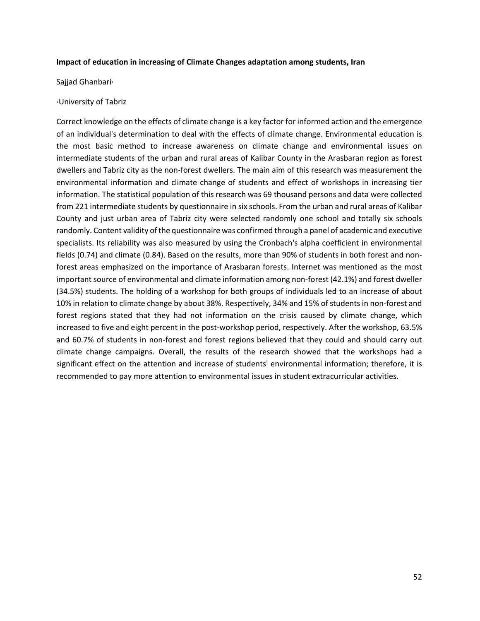#### **Impact of education in increasing of Climate Changes adaptation among students, Iran**

Sajjad Ghanbari<sup>1</sup>

#### 1 University of Tabriz

Correct knowledge on the effects of climate change is a key factor for informed action and the emergence of an individual's determination to deal with the effects of climate change. Environmental education is the most basic method to increase awareness on climate change and environmental issues on intermediate students of the urban and rural areas of Kalibar County in the Arasbaran region as forest dwellers and Tabriz city as the non‐forest dwellers. The main aim of this research was measurement the environmental information and climate change of students and effect of workshops in increasing tier information. The statistical population of this research was 69 thousand persons and data were collected from 221 intermediate students by questionnaire in six schools. From the urban and rural areas of Kalibar County and just urban area of Tabriz city were selected randomly one school and totally six schools randomly. Content validity of the questionnaire was confirmed through a panel of academic and executive specialists. Its reliability was also measured by using the Cronbach's alpha coefficient in environmental fields (0.74) and climate (0.84). Based on the results, more than 90% of students in both forest and nonforest areas emphasized on the importance of Arasbaran forests. Internet was mentioned as the most important source of environmental and climate information among non-forest (42.1%) and forest dweller (34.5%) students. The holding of a workshop for both groups of individuals led to an increase of about 10% in relation to climate change by about 38%. Respectively, 34% and 15% of students in non‐forest and forest regions stated that they had not information on the crisis caused by climate change, which increased to five and eight percent in the post-workshop period, respectively. After the workshop, 63.5% and 60.7% of students in non-forest and forest regions believed that they could and should carry out climate change campaigns. Overall, the results of the research showed that the workshops had a significant effect on the attention and increase of students' environmental information; therefore, it is recommended to pay more attention to environmental issues in student extracurricular activities.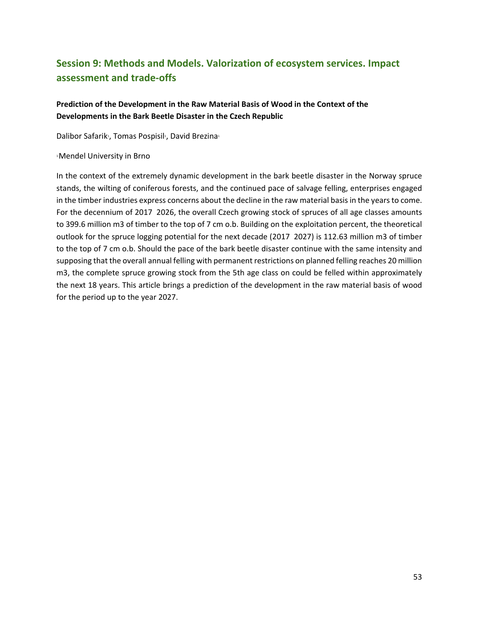# **Session 9: Methods and Models. Valorization of ecosystem services. Impact assessment and trade‐offs**

## **Prediction of the Development in the Raw Material Basis of Wood in the Context of the Developments in the Bark Beetle Disaster in the Czech Republic**

Dalibor Safarik<sup>1</sup>, Tomas Pospisil<sup>1</sup>, David Brezina<sup>1</sup>

#### 1 Mendel University in Brno

In the context of the extremely dynamic development in the bark beetle disaster in the Norway spruce stands, the wilting of coniferous forests, and the continued pace of salvage felling, enterprises engaged in the timber industries express concerns about the decline in the raw material basis in the years to come. For the decennium of 2017 2026, the overall Czech growing stock of spruces of all age classes amounts to 399.6 million m3 of timber to the top of 7 cm o.b. Building on the exploitation percent, the theoretical outlook for the spruce logging potential for the next decade (2017 2027) is 112.63 million m3 of timber to the top of 7 cm o.b. Should the pace of the bark beetle disaster continue with the same intensity and supposing that the overall annual felling with permanent restrictions on planned felling reaches 20 million m3, the complete spruce growing stock from the 5th age class on could be felled within approximately the next 18 years. This article brings a prediction of the development in the raw material basis of wood for the period up to the year 2027.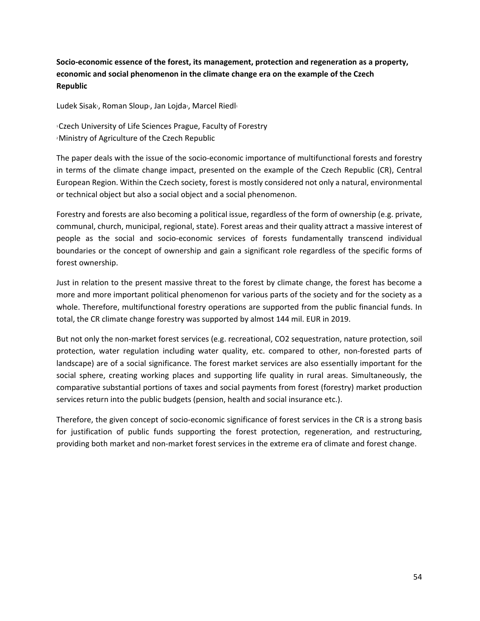**Socio‐economic essence of the forest, its management, protection and regeneration as a property, economic and social phenomenon in the climate change era on the example of the Czech Republic** 

Ludek Sisak<sup>1</sup>, Roman Sloup<sup>1</sup>, Jan Lojda<sup>2</sup>, Marcel Riedl<sup>1</sup>

1 Czech University of Life Sciences Prague, Faculty of Forestry 2 Ministry of Agriculture of the Czech Republic

The paper deals with the issue of the socio‐economic importance of multifunctional forests and forestry in terms of the climate change impact, presented on the example of the Czech Republic (CR), Central European Region. Within the Czech society, forest is mostly considered not only a natural, environmental or technical object but also a social object and a social phenomenon.

Forestry and forests are also becoming a political issue, regardless of the form of ownership (e.g. private, communal, church, municipal, regional, state). Forest areas and their quality attract a massive interest of people as the social and socio‐economic services of forests fundamentally transcend individual boundaries or the concept of ownership and gain a significant role regardless of the specific forms of forest ownership.

Just in relation to the present massive threat to the forest by climate change, the forest has become a more and more important political phenomenon for various parts of the society and for the society as a whole. Therefore, multifunctional forestry operations are supported from the public financial funds. In total, the CR climate change forestry was supported by almost 144 mil. EUR in 2019.

But not only the non-market forest services (e.g. recreational, CO2 sequestration, nature protection, soil protection, water regulation including water quality, etc. compared to other, non-forested parts of landscape) are of a social significance. The forest market services are also essentially important for the social sphere, creating working places and supporting life quality in rural areas. Simultaneously, the comparative substantial portions of taxes and social payments from forest (forestry) market production services return into the public budgets (pension, health and social insurance etc.).

Therefore, the given concept of socio‐economic significance of forest services in the CR is a strong basis for justification of public funds supporting the forest protection, regeneration, and restructuring, providing both market and non‐market forest services in the extreme era of climate and forest change.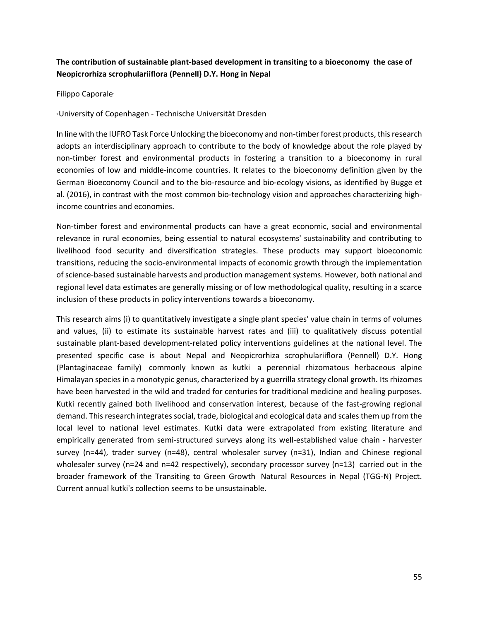# **The contribution of sustainable plant‐based development in transiting to a bioeconomy the case of Neopicrorhiza scrophulariiflora (Pennell) D.Y. Hong in Nepal**

Filippo Caporale<sup>1</sup>

1 University of Copenhagen ‐ Technische Universität Dresden

In line with the IUFRO Task Force Unlocking the bioeconomy and non-timber forest products, this research adopts an interdisciplinary approach to contribute to the body of knowledge about the role played by non-timber forest and environmental products in fostering a transition to a bioeconomy in rural economies of low and middle‐income countries. It relates to the bioeconomy definition given by the German Bioeconomy Council and to the bio-resource and bio-ecology visions, as identified by Bugge et al. (2016), in contrast with the most common bio-technology vision and approaches characterizing highincome countries and economies.

Non-timber forest and environmental products can have a great economic, social and environmental relevance in rural economies, being essential to natural ecosystems' sustainability and contributing to livelihood food security and diversification strategies. These products may support bioeconomic transitions, reducing the socio‐environmental impacts of economic growth through the implementation of science‐based sustainable harvests and production management systems. However, both national and regional level data estimates are generally missing or of low methodological quality, resulting in a scarce inclusion of these products in policy interventions towards a bioeconomy.

This research aims (i) to quantitatively investigate a single plant species' value chain in terms of volumes and values, (ii) to estimate its sustainable harvest rates and (iii) to qualitatively discuss potential sustainable plant‐based development‐related policy interventions guidelines at the national level. The presented specific case is about Nepal and Neopicrorhiza scrophulariiflora (Pennell) D.Y. Hong (Plantaginaceae family) commonly known as kutki a perennial rhizomatous herbaceous alpine Himalayan species in a monotypic genus, characterized by a guerrilla strategy clonal growth. Its rhizomes have been harvested in the wild and traded for centuries for traditional medicine and healing purposes. Kutki recently gained both livelihood and conservation interest, because of the fast-growing regional demand. This research integrates social, trade, biological and ecological data and scales them up from the local level to national level estimates. Kutki data were extrapolated from existing literature and empirically generated from semi-structured surveys along its well-established value chain - harvester survey (n=44), trader survey (n=48), central wholesaler survey (n=31), Indian and Chinese regional wholesaler survey (n=24 and n=42 respectively), secondary processor survey (n=13) carried out in the broader framework of the Transiting to Green Growth Natural Resources in Nepal (TGG‐N) Project. Current annual kutki's collection seems to be unsustainable.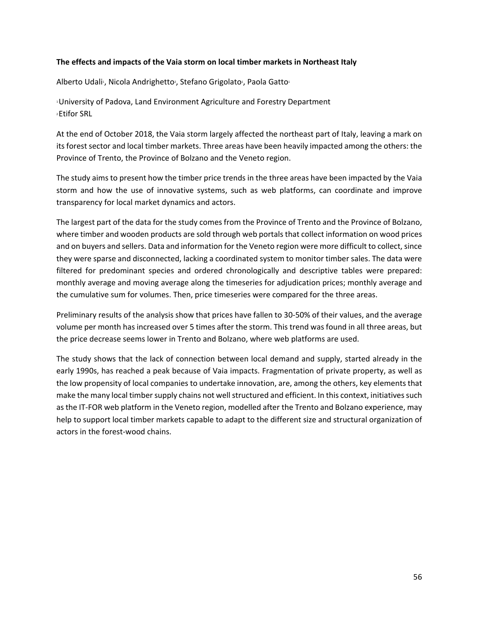#### **The effects and impacts of the Vaia storm on local timber markets in Northeast Italy**

Alberto Udali<sup>1</sup>, Nicola Andrighetto<sup>2</sup>, Stefano Grigolato<sup>1</sup>, Paola Gatto<sup>1</sup>

1 University of Padova, Land Environment Agriculture and Forestry Department 2 Etifor SRL

At the end of October 2018, the Vaia storm largely affected the northeast part of Italy, leaving a mark on its forest sector and local timber markets. Three areas have been heavily impacted among the others: the Province of Trento, the Province of Bolzano and the Veneto region.

The study aims to present how the timber price trends in the three areas have been impacted by the Vaia storm and how the use of innovative systems, such as web platforms, can coordinate and improve transparency for local market dynamics and actors.

The largest part of the data for the study comes from the Province of Trento and the Province of Bolzano, where timber and wooden products are sold through web portals that collect information on wood prices and on buyers and sellers. Data and information for the Veneto region were more difficult to collect, since they were sparse and disconnected, lacking a coordinated system to monitor timber sales. The data were filtered for predominant species and ordered chronologically and descriptive tables were prepared: monthly average and moving average along the timeseries for adjudication prices; monthly average and the cumulative sum for volumes. Then, price timeseries were compared for the three areas.

Preliminary results of the analysis show that prices have fallen to 30‐50% of their values, and the average volume per month has increased over 5 times after the storm. This trend was found in all three areas, but the price decrease seems lower in Trento and Bolzano, where web platforms are used.

The study shows that the lack of connection between local demand and supply, started already in the early 1990s, has reached a peak because of Vaia impacts. Fragmentation of private property, as well as the low propensity of local companies to undertake innovation, are, among the others, key elements that make the many local timber supply chains not well structured and efficient. In this context, initiatives such as the IT‐FOR web platform in the Veneto region, modelled after the Trento and Bolzano experience, may help to support local timber markets capable to adapt to the different size and structural organization of actors in the forest‐wood chains.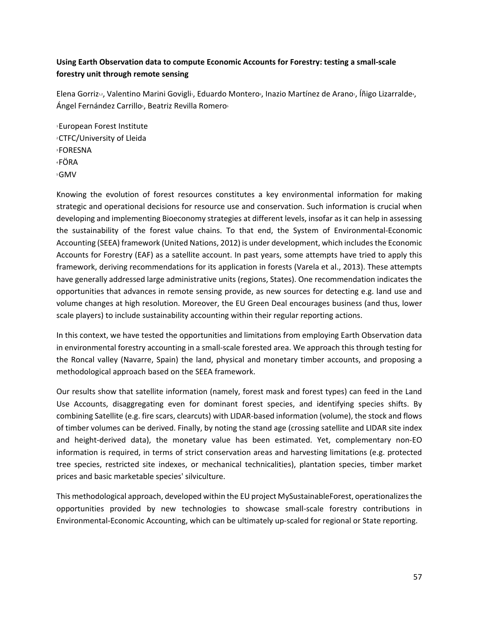# **Using Earth Observation data to compute Economic Accounts for Forestry: testing a small‐scale forestry unit through remote sensing**

Elena Gorriz<sup>1</sup>, Valentino Marini Govigli<sup>1</sup>, Eduardo Montero<sup>3</sup>, Inazio Martínez de Arano<sup>1</sup>, Íñigo Lizarralde<sup>4</sup>, Ángel Fernández Carrillo<sup>5</sup>, Beatriz Revilla Romero<sup>5</sup>

1 European Forest Institute 2 CTFC/University of Lleida 3 FORESNA 4 FÖRA 5 GMV

Knowing the evolution of forest resources constitutes a key environmental information for making strategic and operational decisions for resource use and conservation. Such information is crucial when developing and implementing Bioeconomy strategies at different levels, insofar as it can help in assessing the sustainability of the forest value chains. To that end, the System of Environmental‐Economic Accounting (SEEA) framework (United Nations, 2012) is under development, which includes the Economic Accounts for Forestry (EAF) as a satellite account. In past years, some attempts have tried to apply this framework, deriving recommendations for its application in forests (Varela et al., 2013). These attempts have generally addressed large administrative units (regions, States). One recommendation indicates the opportunities that advances in remote sensing provide, as new sources for detecting e.g. land use and volume changes at high resolution. Moreover, the EU Green Deal encourages business (and thus, lower scale players) to include sustainability accounting within their regular reporting actions.

In this context, we have tested the opportunities and limitations from employing Earth Observation data in environmental forestry accounting in a small‐scale forested area. We approach this through testing for the Roncal valley (Navarre, Spain) the land, physical and monetary timber accounts, and proposing a methodological approach based on the SEEA framework.

Our results show that satellite information (namely, forest mask and forest types) can feed in the Land Use Accounts, disaggregating even for dominant forest species, and identifying species shifts. By combining Satellite (e.g. fire scars, clearcuts) with LIDAR‐based information (volume), the stock and flows of timber volumes can be derived. Finally, by noting the stand age (crossing satellite and LIDAR site index and height-derived data), the monetary value has been estimated. Yet, complementary non-EO information is required, in terms of strict conservation areas and harvesting limitations (e.g. protected tree species, restricted site indexes, or mechanical technicalities), plantation species, timber market prices and basic marketable species' silviculture.

This methodological approach, developed within the EU project MySustainableForest, operationalizes the opportunities provided by new technologies to showcase small‐scale forestry contributions in Environmental‐Economic Accounting, which can be ultimately up‐scaled for regional or State reporting.